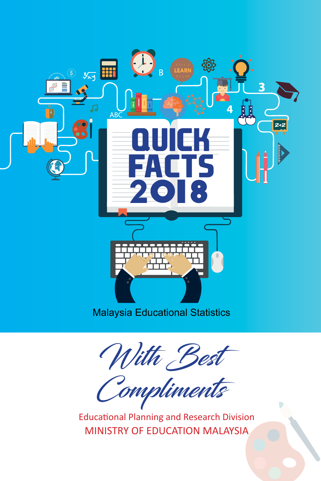

With Best

Compliments

Educational Planning and Research Division MINISTRY OF EDUCATION MALAYSIA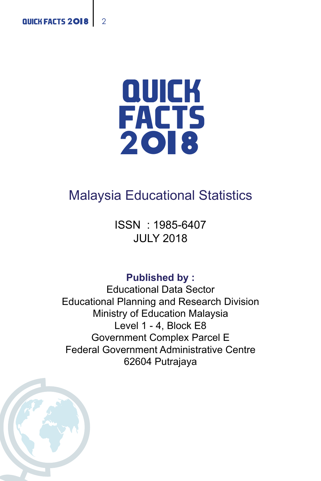

# Malaysia Educational Statistics

ISSN : 1985-6407 JULY 2018

**Published by :**

Educational Data Sector Educational Planning and Research Division Ministry of Education Malaysia Level 1 - 4, Block E8 Government Complex Parcel E Federal Government Administrative Centre 62604 Putrajaya

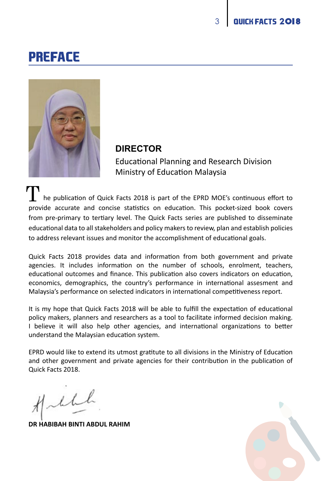# PREFACE



### **DIRECTOR**

Educational Planning and Research Division Ministry of Education Malaysia

 he publication of Quick Facts 2018 is part of the EPRD MOE's continuous effort to provide accurate and concise statistics on education. This pocket-sized book covers from pre-primary to tertiary level. The Quick Facts series are published to disseminate educational data to all stakeholders and policy makers to review, plan and establish policies to address relevant issues and monitor the accomplishment of educational goals. T

Quick Facts 2018 provides data and information from both government and private agencies. It includes information on the number of schools, enrolment, teachers, educational outcomes and finance. This publication also covers indicators on education, economics, demographics, the country's performance in international assesment and Malaysia's performance on selected indicators in international competitiveness report.

It is my hope that Quick Facts 2018 will be able to fulfill the expectation of educational policy makers, planners and researchers as a tool to facilitate informed decision making. I believe it will also help other agencies, and international organizations to better understand the Malaysian education system.

EPRD would like to extend its utmost gratitute to all divisions in the Ministry of Education and other government and private agencies for their contribution in the publication of Quick Facts 2018.

Vill

**DR HABIBAH BINTI ABDUL RAHIM**

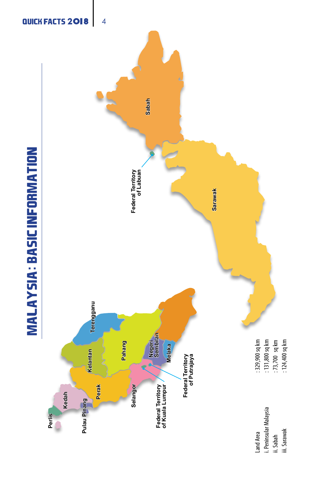



QUICK FACTS 2018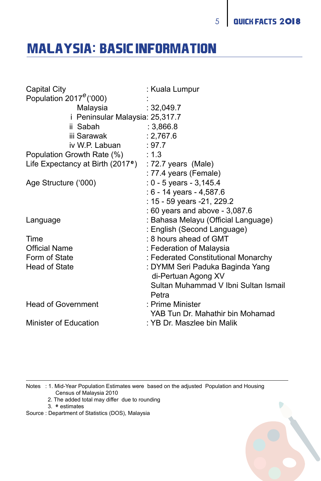# MALAYSIA : BASIC INFORMATION **:**

| Capital City                                                      | : Kuala Lumpur                                |
|-------------------------------------------------------------------|-----------------------------------------------|
| Population $2017^e$ ('000)                                        |                                               |
| Malaysia                                                          | : 32,049.7                                    |
| i Peninsular Malaysia: 25,317.7                                   |                                               |
| ii Sabah<br>3.866.8                                               |                                               |
| iii Sarawak                                                       | : 2,767.6                                     |
| iv W.P. Labuan                                                    | : 97.7                                        |
| Population Growth Rate (%) : 1.3                                  |                                               |
| Life Expectancy at Birth (2017 <sup>e</sup> ) : 72.7 years (Male) |                                               |
|                                                                   | : 77.4 years (Female)                         |
| Age Structure ('000)                                              | : $0 - 5$ years $-3,145.4$                    |
|                                                                   | : $6 - 14$ years $- 4,587.6$                  |
|                                                                   | : 15 - 59 years -21, 229.2                    |
|                                                                   | : 60 years and above - 3,087.6                |
| Language                                                          | : Bahasa Melayu (Official Language)           |
|                                                                   | : English (Second Language)                   |
| <b>Time</b>                                                       | : 8 hours ahead of GMT                        |
| <b>Official Name</b>                                              | : Federation of Malaysia                      |
| Form of State                                                     | : Federated Constitutional Monarchy           |
| Head of State                                                     | : DYMM Seri Paduka Baginda Yang               |
|                                                                   | di-Pertuan Agong XV                           |
|                                                                   | Sultan Muhammad V Ibni Sultan Ismail<br>Petra |
| <b>Head of Government</b>                                         | : Prime Minister                              |
|                                                                   | YAB Tun Dr. Mahathir bin Mohamad              |
| Minister of Education                                             | : YB Dr. Maszlee bin Malik                    |

Notes : 1. Mid-Year Population Estimates were based on the adjusted Population and Housing Census of Malaysia 2010

- 2. The added total may differ due to rounding
- 3. estimates **e**

Source : Department of Statistics (DOS), Malaysia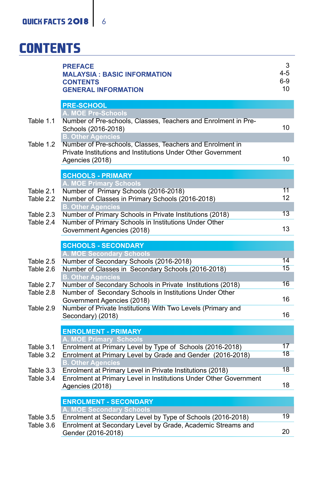# **CONTENTS**

|           | <b>PREFACE</b><br><b>MALAYSIA: BASIC INFORMATION</b><br><b>CONTENTS</b><br><b>GENERAL INFORMATION</b>                                                                    | 3<br>4-5<br>$6-9$<br>10 |
|-----------|--------------------------------------------------------------------------------------------------------------------------------------------------------------------------|-------------------------|
|           | <b>PRE-SCHOOL</b>                                                                                                                                                        |                         |
| Table 1.1 | A. MOE Pre-Schools<br>Number of Pre-schools, Classes, Teachers and Enrolment in Pre-                                                                                     |                         |
|           | Schools (2016-2018)                                                                                                                                                      | 10                      |
| Table 1.2 | <b>B. Other Agencies</b><br>Number of Pre-schools, Classes, Teachers and Enrolment in<br>Private Institutions and Institutions Under Other Government<br>Agencies (2018) | 10                      |
|           | <b>SCHOOLS - PRIMARY</b>                                                                                                                                                 |                         |
|           | A. MOE Primary Schools                                                                                                                                                   |                         |
| Table 2.1 | Number of Primary Schools (2016-2018)                                                                                                                                    | 11                      |
| Table 2.2 | Number of Classes in Primary Schools (2016-2018)                                                                                                                         | 12                      |
| Table 2.3 | <b>B. Other Agencies</b><br>Number of Primary Schools in Private Institutions (2018)                                                                                     | 13                      |
| Table 2.4 | Number of Primary Schools in Institutions Under Other                                                                                                                    |                         |
|           | Government Agencies (2018)                                                                                                                                               | 13                      |
|           | <b>SCHOOLS - SECONDARY</b>                                                                                                                                               |                         |
|           | A. MOE Secondary Schools                                                                                                                                                 |                         |
| Table 2.5 | Number of Secondary Schools (2016-2018)                                                                                                                                  | 14                      |
| Table 2.6 | Number of Classes in Secondary Schools (2016-2018)                                                                                                                       | 15                      |
|           | <b>B. Other Agencies</b>                                                                                                                                                 |                         |
| Table 2.7 | Number of Secondary Schools in Private Institutions (2018)                                                                                                               | 16                      |
| Table 2.8 | Number of Secondary Schools in Institutions Under Other                                                                                                                  |                         |
|           | Government Agencies (2018)                                                                                                                                               | 16                      |
| Table 2.9 | Number of Private Institutions With Two Levels (Primary and<br>Secondary) (2018)                                                                                         | 16                      |
|           | <b>ENROLMENT - PRIMARY</b>                                                                                                                                               |                         |
|           | A. MOE Primary Schools                                                                                                                                                   |                         |
| Table 3.1 | Enrolment at Primary Level by Type of Schools (2016-2018)                                                                                                                | 17                      |
| Table 3.2 | Enrolment at Primary Level by Grade and Gender (2016-2018)<br><b>B. Other Agencies</b>                                                                                   | 18                      |
| Table 3.3 | Enrolment at Primary Level in Private Institutions (2018)                                                                                                                | 18                      |
| Table 3.4 | Enrolment at Primary Level in Institutions Under Other Government<br>Agencies (2018)                                                                                     | 18                      |
|           | <b>ENROLMENT - SECONDARY</b>                                                                                                                                             |                         |
|           | A. MOE Secondary Schools                                                                                                                                                 |                         |
| Table 3.5 | Enrolment at Secondary Level by Type of Schools (2016-2018)                                                                                                              | 19                      |
| Table 3.6 | Enrolment at Secondary Level by Grade, Academic Streams and<br>Gender (2016-2018)                                                                                        | 20                      |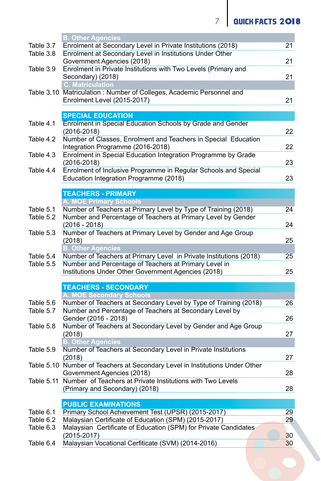**7** QUICK FACTS 2018

|           | <b>B. Other Agencies</b>                                                               |    |
|-----------|----------------------------------------------------------------------------------------|----|
| Table 3.7 | Enrolment at Secondary Level in Private Institutions (2018)                            | 21 |
| Table 3.8 | Enrolment at Secondary Level in Institutions Under Other<br>Government Agencies (2018) | 21 |
| Table 3.9 | Enrolment in Private Institutions with Two Levels (Primary and                         |    |
|           | Secondary) (2018)                                                                      | 21 |
|           | <b>C. Matriculation</b>                                                                |    |
|           | Table 3.10 Matriculation: Number of Colleges, Academic Personnel and                   |    |
|           | Enrolment Level (2015-2017)                                                            | 21 |
|           | <b>SPECIAL EDUCATION</b>                                                               |    |
| Table 4.1 | Enrolment in Special Education Schools by Grade and Gender                             |    |
|           | $(2016 - 2018)$                                                                        | 22 |
| Table 4.2 | Number of Classes, Enrolment and Teachers in Special Education                         |    |
|           | Integration Programme (2016-2018)                                                      | 22 |
| Table 4.3 | Enrolment in Special Education Integration Programme by Grade                          |    |
|           | $(2016 - 2018)$                                                                        | 23 |
| Table 4.4 | Enrolment of Inclusive Programme in Regular Schools and Special                        |    |
|           | Education Integration Programme (2018)                                                 | 23 |
|           |                                                                                        |    |
|           | <b>TEACHERS - PRIMARY</b>                                                              |    |
|           | <b>A. MOE Primary Schools</b>                                                          |    |
| Table 5.1 | Number of Teachers at Primary Level by Type of Training (2018)                         | 24 |
| Table 5.2 | Number and Percentage of Teachers at Primary Level by Gender                           |    |
| Table 5.3 | $(2016 - 2018)$<br>Number of Teachers at Primary Level by Gender and Age Group         | 24 |
|           | (2018)                                                                                 | 25 |
|           | <b>B. Other Agencies</b>                                                               |    |
| Table 5.4 | Number of Teachers at Primary Level in Private Institutions (2018)                     | 25 |
| Table 5.5 | Number and Percentage of Teachers at Primary Level in                                  |    |
|           | Institutions Under Other Government Agencies (2018)                                    | 25 |
|           |                                                                                        |    |
|           | <b>TEACHERS - SECONDARY</b>                                                            |    |
|           | A. MOE Secondary Schools                                                               |    |
| Table 5.6 | Number of Teachers at Secondary Level by Type of Training (2018)                       | 26 |
| Table 5.7 | Number and Percentage of Teachers at Secondary Level by                                |    |
|           | Gender (2016 - 2018)                                                                   | 26 |
| Table 5.8 | Number of Teachers at Secondary Level by Gender and Age Group                          |    |
|           | (2018)<br><b>B. Other Agencies</b>                                                     | 27 |
| Table 5.9 | Number of Teachers at Secondary Level in Private Institutions                          |    |
|           | (2018)                                                                                 | 27 |
|           | Table 5.10 Number of Teachers at Secondary Level in Institutions Under Other           |    |
|           | Government Agencies (2018)                                                             | 28 |
|           | Table 5.11 Number of Teachers at Private Institutions with Two Levels                  |    |
|           | (Primary and Secondary) (2018)                                                         | 28 |
|           |                                                                                        |    |
|           | <b>PUBLIC EXAMINATIONS</b>                                                             |    |
| Table 6.1 | Primary School Achievement Test (UPSR) (2015-2017)                                     | 29 |
| Table 6.2 | Malaysian Certificate of Education (SPM) (2015-2017)                                   | 29 |
| Table 6.3 | Malaysian Certificate of Education (SPM) for Private Candidates                        |    |
|           | $(2015 - 2017)$                                                                        | 30 |
| Table 6.4 | Malaysian Vocational Cerfiticate (SVM) (2014-2016)                                     | 30 |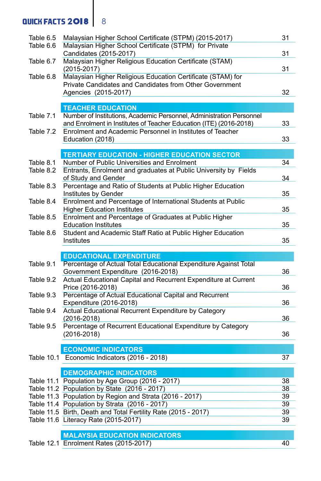## **QUICK FACTS 2018** 8

| Table 6.5 | Malaysian Higher School Certificate (STPM) (2015-2017)               | 31       |
|-----------|----------------------------------------------------------------------|----------|
| Table 6.6 | Malaysian Higher School Certificate (STPM) for Private               |          |
|           | Candidates (2015-2017)                                               | 31       |
| Table 6.7 | Malaysian Higher Religious Education Certificate (STAM)              |          |
|           | $(2015 - 2017)$                                                      | 31       |
| Table 6.8 | Malaysian Higher Religious Education Certificate (STAM) for          |          |
|           | Private Candidates and Candidates from Other Government              |          |
|           | Agencies (2015-2017)                                                 | 32       |
|           | <b>TEACHER EDUCATION</b>                                             |          |
| Table 7.1 | Number of Institutions, Academic Personnel, Administration Personnel |          |
|           | and Enrolment in Institutes of Teacher Education (ITE) (2016-2018)   | 33       |
| Table 7.2 | Enrolment and Academic Personnel in Institutes of Teacher            |          |
|           | Education (2018)                                                     | 33       |
|           |                                                                      |          |
|           | <b>TERTIARY EDUCATION - HIGHER EDUCATION SECTOR</b>                  |          |
| Table 8.1 | Number of Public Universities and Enrolment                          | 34       |
| Table 8.2 | Entrants, Enrolment and graduates at Public University by Fields     |          |
|           | of Study and Gender                                                  | 34       |
| Table 8.3 | Percentage and Ratio of Students at Public Higher Education          |          |
|           | Institutes by Gender                                                 | 35       |
| Table 8.4 | Enrolment and Percentage of International Students at Public         |          |
|           | <b>Higher Education Institutes</b>                                   | 35       |
| Table 8.5 | Enrolment and Percentage of Graduates at Public Higher               |          |
|           | <b>Education Institutes</b>                                          | 35       |
| Table 8.6 | Student and Academic Staff Ratio at Public Higher Education          |          |
|           | Institutes                                                           | 35       |
|           | <b>EDUCATIONAL EXPENDITURE</b>                                       |          |
| Table 9.1 | Percentage of Actual Total Educational Expenditure Against Total     |          |
|           | Government Expenditure (2016-2018)                                   | 36       |
| Table 9.2 | Actual Educational Capital and Recurrent Expenditure at Current      |          |
|           | Price (2016-2018)                                                    | 36       |
| Table 9.3 | Percentage of Actual Educational Capital and Recurrent               |          |
|           | Expenditure (2016-2018)                                              | 36       |
| Table 9.4 | Actual Educational Recurrent Expenditure by Category                 |          |
|           | $(2016 - 2018)$                                                      | 36       |
| Table 9.5 | Percentage of Recurrent Educational Expenditure by Category          |          |
|           | $(2016 - 2018)$                                                      | 36       |
|           |                                                                      |          |
|           | <b>ECONOMIC INDICATORS</b>                                           |          |
|           | Table 10.1 Economic Indicators (2016 - 2018)                         | 37       |
|           |                                                                      |          |
|           | <b>DEMOGRAPHIC INDICATORS</b>                                        |          |
|           | Table 11.1 Population by Age Group (2016 - 2017)                     | 38       |
|           | Table 11.2 Population by State (2016 - 2017)                         | 38       |
|           | Table 11.3 Population by Region and Strata (2016 - 2017)             | 39       |
|           | Table 11.4 Population by Strata (2016 - 2017)                        | 39       |
|           | Table 11.5 Birth, Death and Total Fertility Rate (2015 - 2017)       | 39<br>39 |
|           | Table 11.6 Literacy Rate (2015-2017)                                 |          |
|           | <b>MALAYSIA EDUCATION INDICATORS</b>                                 |          |
|           | Table 12.1 Enrolment Rates (2015-2017)                               | 40       |
|           |                                                                      |          |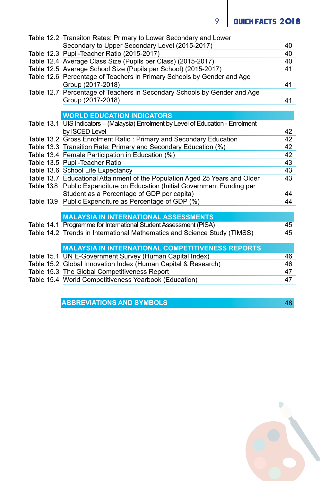# 9 | QUICK FACTS 2018

| Table 12.2 Transiton Rates: Primary to Lower Secondary and Lower                              |    |
|-----------------------------------------------------------------------------------------------|----|
| Secondary to Upper Secondary Level (2015-2017)                                                | 40 |
| Table 12.3 Pupil-Teacher Ratio (2015-2017)                                                    | 40 |
| Table 12.4 Average Class Size (Pupils per Class) (2015-2017)                                  | 40 |
| Table 12.5 Average School Size (Pupils per School) (2015-2017)                                | 41 |
| Table 12.6 Percentage of Teachers in Primary Schools by Gender and Age<br>Group (2017-2018)   | 41 |
| Table 12.7 Percentage of Teachers in Secondary Schools by Gender and Age<br>Group (2017-2018) | 41 |
|                                                                                               |    |
| <b>WORLD EDUCATION INDICATORS</b>                                                             |    |
| Table 13.1 UIS Indicators - (Malaysia) Enrolment by Level of Education - Enrolment            |    |
| by ISCED Level                                                                                | 42 |
| Table 13.2 Gross Enrolment Ratio: Primary and Secondary Education                             | 42 |
| Table 13.3 Transition Rate: Primary and Secondary Education (%)                               | 42 |
| Table 13.4 Female Participation in Education (%)                                              | 42 |
| Table 13.5 Pupil-Teacher Ratio                                                                | 43 |
| Table 13.6 School Life Expectancy                                                             | 43 |
| Table 13.7 Educational Attainment of the Population Aged 25 Years and Older                   | 43 |
| Table 13.8 Public Expenditure on Education (Initial Government Funding per                    |    |
| Student as a Percentage of GDP per capita)                                                    | 44 |
| Table 13.9 Public Expenditure as Percentage of GDP (%)                                        | 44 |
|                                                                                               |    |
| <b>MALAYSIA IN INTERNATIONAL ASSESSMENTS</b>                                                  |    |
| Table 14.1 Programme for International Student Assessment (PISA)                              | 45 |
| Table 14.2 Trends in International Mathematics and Science Study (TIMSS)                      | 45 |
|                                                                                               |    |
| <b>MALAYSIA IN INTERNATIONAL COMPETITIVENESS REPORTS</b>                                      |    |
| Table 15.1 UN E-Government Survey (Human Capital Index)                                       | 46 |
| Table 15.2 Global Innovation Index (Human Capital & Research)                                 | 46 |
| Table 15.3 The Global Competitiveness Report                                                  | 47 |
| Table 15.4 World Competitiveness Yearbook (Education)                                         | 47 |
|                                                                                               |    |

 **ABBREVIATIONS AND SYMBOLS** 48

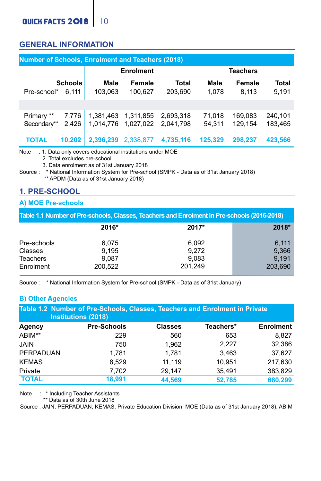### **GENERAL INFORMATION**

| <b>Number of Schools, Enrolment and Teachers (2018)</b> |                |                        |                        |                        |                  |                    |                    |
|---------------------------------------------------------|----------------|------------------------|------------------------|------------------------|------------------|--------------------|--------------------|
|                                                         |                |                        | Enrolment              |                        |                  | <b>Teachers</b>    |                    |
|                                                         | <b>Schools</b> | Male                   | Female                 | Total                  | Male             | Female             | Total              |
| Pre-school*                                             | 6.111          | 103.063                | 100.627                | 203.690                | 1.078            | 8.113              | 9.191              |
|                                                         |                |                        |                        |                        |                  |                    |                    |
| Primary **<br>Secondary**                               | 7.776<br>2.426 | 1.381.463<br>1.014.776 | 1,311,855<br>1.027.022 | 2.693.318<br>2.041.798 | 71.018<br>54.311 | 169.083<br>129.154 | 240.101<br>183.465 |
| <b>TOTAL</b>                                            | 10.202         | 2.396.239              | 2.338.877              | 4.735.116              | 125.329          | 298.237            | 423.566            |

Note : 1. Data only covers educational institutions under MOE

2. Total excludes pre-school

3. Data enrolment as of 31st January 2018

Source : \* National Information System for Pre-school (SMPK - Data as of 31st January 2018) \*\* APDM (Data as of 31st January 2018)

### **1. PRE-SCHOOL**

#### **A) MOE Pre-schools**

| Table 1.1 Number of Pre-schools, Classes, Teachers and Enrolment in Pre-schools (2016-2018) |                                    |                                    |                                    |  |  |
|---------------------------------------------------------------------------------------------|------------------------------------|------------------------------------|------------------------------------|--|--|
|                                                                                             | 2016*                              | 2017*                              | 2018*                              |  |  |
| Pre-schools<br>Classes<br>Teachers<br>Enrolment                                             | 6.075<br>9.195<br>9.087<br>200.522 | 6.092<br>9.272<br>9.083<br>201.249 | 6.111<br>9.366<br>9.191<br>203.690 |  |  |

Source : \* National Information System for Pre-school (SMPK - Data as of 31st January)

#### **B) Other Agencies**

| Table 1.2 Number of Pre-Schools, Classes, Teachers and Enrolment in Private<br>Institutions (2018) |             |                |           |                  |
|----------------------------------------------------------------------------------------------------|-------------|----------------|-----------|------------------|
| Agency                                                                                             | Pre-Schools | <b>Classes</b> | Teachers* | <b>Enrolment</b> |
| ABIM**                                                                                             | 229         | 560            | 653       | 8.827            |
| <b>JAIN</b>                                                                                        | 750         | 1.962          | 2.227     | 32.386           |
| PERPADUAN                                                                                          | 1.781       | 1.781          | 3.463     | 37.627           |
| <b>KEMAS</b>                                                                                       | 8.529       | 11.119         | 10.951    | 217.630          |
| Private                                                                                            | 7.702       | 29.147         | 35,491    | 383,829          |
| <b>TOTAL</b>                                                                                       | 18.991      | 44.569         | 52.785    | 680,299          |

Note : \* Including Teacher Assistants

\*\* Data as of 30th June 2018

Source : JAIN, PERPADUAN, KEMAS, Private Education Division, MOE (Data as of 31st January 2018), ABIM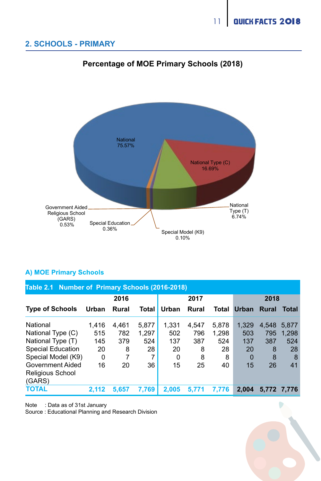D

### **2. SCHOOLS - PRIMARY**



### **Percentage of MOE Primary Schools (2018) Percentage of MOE Primary Schools (2018)**

#### **A) MOE Primary Schools**

| Table 2.1 Number of Primary Schools (2016-2018) |          |       |                |       |       |       |          |             |             |
|-------------------------------------------------|----------|-------|----------------|-------|-------|-------|----------|-------------|-------------|
|                                                 |          | 2016  |                |       | 2017  |       |          | 2018        |             |
| <b>Type of Schools</b>                          | Urban    | Rural | <b>Total</b>   | Urban | Rural | Total | Urban    | Rural       | Total       |
| National                                        | 1.416    | 4.461 | 5.877          | 1.331 | 4.547 | 5.878 | 1.329    | 4.548 5.877 |             |
| National Type (C)                               | 515      | 782   | 1.297          | 502   | 796   | 1.298 | 503      | 795         | 1.298       |
| National Type (T)                               | 145      | 379   | 524            | 137   | 387   | 524   | 137      | 387         | 524         |
| <b>Special Education</b>                        | 20       | 8     | 28             | 20    | 8     | 28    | 20       | 8           | 28          |
| Special Model (K9)                              | $\Omega$ | 7     | $\overline{7}$ | 0     | 8     | 8     | $\Omega$ | 8           | 8           |
| Government Aided<br>Religious School<br>(GARS)  | 16       | 20    | 36             | 15    | 25    | 40    | 15       | 26          | 41          |
| <b>TOTAL</b>                                    | 2.112    | 5.657 | 7.769          | 2.005 | 5.771 | 7.776 | 2.004    |             | 5.772 7.776 |

Note : Data as of 31st January

Source : Educational Planning and Research Division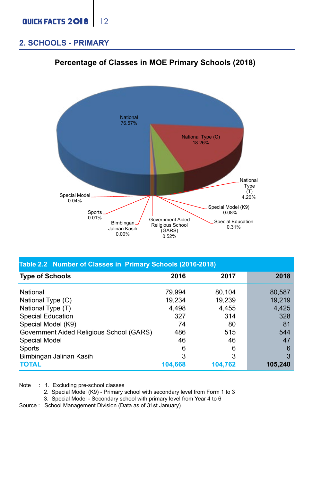#### **2. SCHOOLS - PRIMARY**



### **Percentage of Classes in MOE Primary Schools (2018) Percentage of MOE Primary Schools (2018)**

| Table 2.2 Number of Classes in Primary Schools (2016-2018) |         |         |              |  |  |  |  |  |
|------------------------------------------------------------|---------|---------|--------------|--|--|--|--|--|
| <b>Type of Schools</b>                                     | 2016    | 2017    | 2018         |  |  |  |  |  |
| National                                                   | 79.994  | 80.104  | 80.587       |  |  |  |  |  |
| National Type (C)                                          | 19.234  | 19.239  | 19.219       |  |  |  |  |  |
| National Type (T)                                          | 4.498   | 4.455   | 4,425        |  |  |  |  |  |
| Special Education                                          | 327     | 314     | 328          |  |  |  |  |  |
| Special Model (K9)                                         | 74      | 80      | 81           |  |  |  |  |  |
| Government Aided Religious School (GARS)                   | 486     | 515     | 544          |  |  |  |  |  |
| Special Model                                              | 46      | 46      | 47           |  |  |  |  |  |
| Sports                                                     | 6       | 6       | 6            |  |  |  |  |  |
| Bimbingan Jalinan Kasih                                    | 3       | 3       | $\mathbf{3}$ |  |  |  |  |  |
| <b>TOTAL</b>                                               | 104,668 | 104.762 | 105.240      |  |  |  |  |  |

Note : 1. Excluding pre-school classes

2. Special Model (K9) - Primary school with secondary level from Form 1 to 3

3. Special Model - Secondary school with primary level from Year 4 to 6

Source : School Management Division (Data as of 31st January)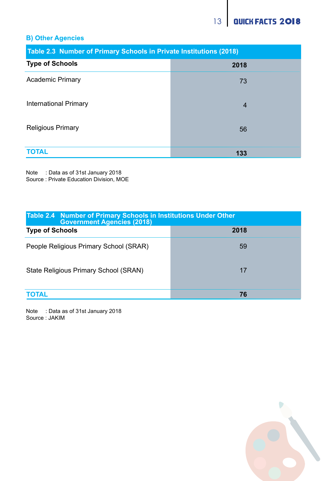### **B) Other Agencies**

| Table 2.3 Number of Primary Schools in Private Institutions (2018) |                |  |  |
|--------------------------------------------------------------------|----------------|--|--|
| <b>Type of Schools</b>                                             | 2018           |  |  |
| <b>Academic Primary</b>                                            | 73             |  |  |
| International Primary                                              | $\overline{4}$ |  |  |
| <b>Religious Primary</b>                                           | 56             |  |  |
| <b>TOTAL</b>                                                       | 133            |  |  |

Note : Data as of 31st January 2018 Source : Private Education Division, MOE

| Table 2.4 Number of Primary Schools in Institutions Under Other<br><b>Government Agencies (2018)</b> |      |  |  |  |  |
|------------------------------------------------------------------------------------------------------|------|--|--|--|--|
| <b>Type of Schools</b>                                                                               | 2018 |  |  |  |  |
| People Religious Primary School (SRAR)                                                               | 59   |  |  |  |  |
| State Religious Primary School (SRAN)                                                                | 17   |  |  |  |  |
| <b>TOTAL</b>                                                                                         | 76   |  |  |  |  |

Note : Data as of 31st January 2018 Source : JAKIM

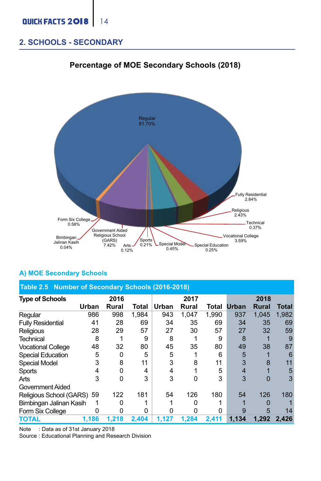### **2. SCHOOLS - SECONDARY**



#### **Percentage of MOE Secondary Schools (2018) Percentage of MOE Secondary Schools (2018)**

#### **A) MOE Secondary Schools**

| Table 2.5 Number of Secondary Schools (2016-2018) |       |       |       |       |       |       |       |              |       |  |
|---------------------------------------------------|-------|-------|-------|-------|-------|-------|-------|--------------|-------|--|
| <b>Type of Schools</b>                            |       | 2016  |       |       | 2017  |       |       | 2018         |       |  |
|                                                   | Urban | Rural | Total | Urban | Rural | Total | Urban | <b>Rural</b> | Total |  |
| Regular                                           | 986   | 998   | 1.984 | 943   | 1.047 | 1.990 | 937   | 1.045        | 1.982 |  |
| <b>Fully Residential</b>                          | 41    | 28    | 69    | 34    | 35    | 69    | 34    | 35           | 69    |  |
| Religious                                         | 28    | 29    | 57    | 27    | 30    | 57    | 27    | 32           | 59    |  |
| Technical                                         | 8     |       | 9     | 8     |       | 9     | 8     |              |       |  |
| <b>Vocational College</b>                         | 48    | 32    | 80    | 45    | 35    | 80    | 49    | 38           | 87    |  |
| <b>Special Education</b>                          | 5     | O     | 5     | 5     |       | 6     | 5     |              |       |  |
| Special Model                                     | 3     | 8     | 11    | 3     | 8     | 11    | 3     |              | 11    |  |
| Sports                                            |       | O     | 4     | 4     |       | 5     |       |              | 5     |  |
| Arts                                              | 3     | C     | 3     | 3     | ŋ     | 3     | 3     |              |       |  |
| Government Aided                                  |       |       |       |       |       |       |       |              |       |  |
| Religious School (GARS) 59                        |       | 122   | 181   | 54    | 126   | 180   | 54    | 126          | 180   |  |
| Bimbingan Jalinan Kasih                           |       |       |       |       |       |       |       |              |       |  |
| Form Six College                                  |       |       | 0     |       |       | ŋ     |       |              | 14    |  |
| <b>TOTAL</b>                                      | 1,186 | 1.218 | 2.404 | 1,127 | 1.284 | 2,411 | 1.134 | 1,292        | 2.426 |  |

Note : Data as of 31st January 2018

Source : Educational Planning and Research Division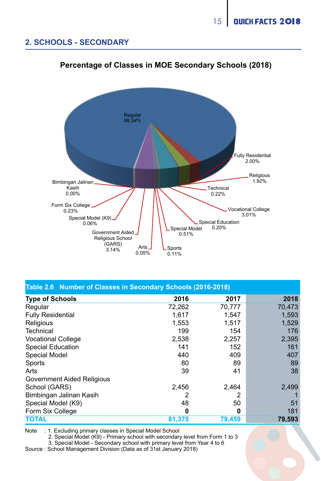#### **2. SCHOOLS - SECONDARY Percentage of Classes in MOE Secondary Schools (2018)**



### **Percentage of Classes in MOE Secondary Schools (2018)**

| Table 2.6 Number of Classes in Secondary Schools (2016-2018) |        |        |        |  |  |  |  |  |  |
|--------------------------------------------------------------|--------|--------|--------|--|--|--|--|--|--|
| <b>Type of Schools</b>                                       | 2016   | 2017   | 2018   |  |  |  |  |  |  |
| Regular                                                      | 72.262 | 70.777 | 70.473 |  |  |  |  |  |  |
| <b>Fully Residential</b>                                     | 1.617  | 1.547  | 1,593  |  |  |  |  |  |  |
| Religious                                                    | 1,553  | 1.517  | 1,529  |  |  |  |  |  |  |
| Technical                                                    | 199    | 154    | 176    |  |  |  |  |  |  |
| <b>Vocational College</b>                                    | 2,538  | 2.257  | 2,395  |  |  |  |  |  |  |
| Special Education                                            | 141    | 152    | 161    |  |  |  |  |  |  |
| Special Model                                                | 440    | 409    | 407    |  |  |  |  |  |  |
| Sports                                                       | 80     | 89     | 89     |  |  |  |  |  |  |
| Arts                                                         | 39     | 41     | 38     |  |  |  |  |  |  |
| Government Aided Religious                                   |        |        |        |  |  |  |  |  |  |
| School (GARS)                                                | 2.456  | 2.464  | 2,499  |  |  |  |  |  |  |
| Bimbingan Jalinan Kasih                                      |        | 2      |        |  |  |  |  |  |  |
| Special Model (K9)                                           | 48     | 50     | 51     |  |  |  |  |  |  |
| Form Six College                                             | o      | 0      | 181    |  |  |  |  |  |  |
| <b>TOTAL</b>                                                 | 81.375 | 79.459 | 79,593 |  |  |  |  |  |  |

Note : 1. Excluding primary classes in Special Model School

2. Special Model (K9) - Primary school with secondary level from Form 1 to 3

3. Special Model - Secondary school with primary level from Year 4 to 6

Source : School Management Division (Data as of 31st January 2018)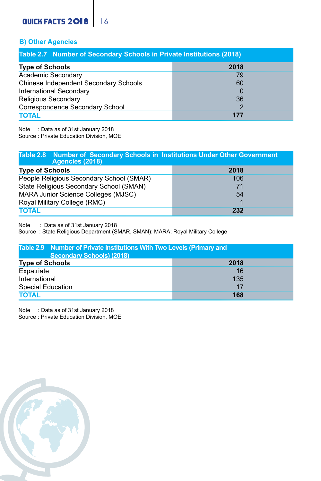### **QUICK FACTS 2018** 16

#### **B) Other Agencies**

| Table 2.7 Number of Secondary Schools in Private Institutions (2018) |      |  |  |  |  |  |  |  |
|----------------------------------------------------------------------|------|--|--|--|--|--|--|--|
| <b>Type of Schools</b>                                               | 2018 |  |  |  |  |  |  |  |
| Academic Secondary                                                   | 79   |  |  |  |  |  |  |  |
| Chinese Independent Secondary Schools                                | 60   |  |  |  |  |  |  |  |
| International Secondary                                              | 0    |  |  |  |  |  |  |  |
| Religious Secondary                                                  | 36   |  |  |  |  |  |  |  |
| Correspondence Secondary School                                      |      |  |  |  |  |  |  |  |
| <b>TOTAL</b>                                                         | 177  |  |  |  |  |  |  |  |

Note : Data as of 31st January 2018

Source : Private Education Division, MOE

| Table 2.8 Number of Secondary Schools in Institutions Under Other Government<br>Agencies (2018) |      |  |  |  |  |  |  |
|-------------------------------------------------------------------------------------------------|------|--|--|--|--|--|--|
| <b>Type of Schools</b>                                                                          | 2018 |  |  |  |  |  |  |
| People Religious Secondary School (SMAR)                                                        | 106  |  |  |  |  |  |  |
| State Religious Secondary School (SMAN)                                                         | 71   |  |  |  |  |  |  |
| MARA Junior Science Colleges (MJSC)                                                             | 54   |  |  |  |  |  |  |
| Royal Military College (RMC)                                                                    |      |  |  |  |  |  |  |
| <b>TOTAL</b>                                                                                    | 232  |  |  |  |  |  |  |

Note : Data as of 31st January 2018

Source : State Religious Department (SMAR, SMAN); MARA; Royal Military College

| Table 2.9 Number of Private Institutions With Two Levels (Primary and<br>Secondary Schools) (2018) |      |  |  |  |  |  |  |
|----------------------------------------------------------------------------------------------------|------|--|--|--|--|--|--|
| <b>Type of Schools</b>                                                                             | 2018 |  |  |  |  |  |  |
| Expatriate                                                                                         | 16   |  |  |  |  |  |  |
| International                                                                                      | 135  |  |  |  |  |  |  |
| Special Education                                                                                  | 17   |  |  |  |  |  |  |
| <b>TOTAL</b>                                                                                       | 168  |  |  |  |  |  |  |

Note : Data as of 31st January 2018

Source : Private Education Division, MOE

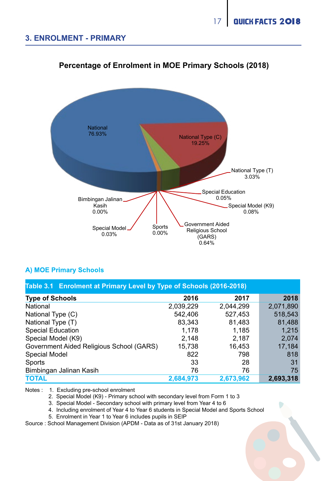

### **Percentage of Enrolment in MOE Primary Schools (2018) Percentage of Enrolment in MOE Primary Schools (2018)**

#### **A) MOE Primary Schools**

**Table 3.1 Enrolment at Primary Level by Type of Schools (2016-2018)**

| <b>Type of Schools</b>                   | 2016      | 2017      | 2018      |
|------------------------------------------|-----------|-----------|-----------|
| National                                 | 2.039.229 | 2.044.299 | 2.071.890 |
| National Type (C)                        | 542.406   | 527.453   | 518,543   |
| National Type (T)                        | 83.343    | 81.483    | 81.488    |
| Special Education                        | 1.178     | 1.185     | 1.215     |
| Special Model (K9)                       | 2.148     | 2.187     | 2.074     |
| Government Aided Religious School (GARS) | 15.738    | 16.453    | 17.184    |
| Special Model                            | 822       | 798       | 818       |
| Sports                                   | 33        | 28        | 31        |
| Bimbingan Jalinan Kasih                  | 76        | 76        | 75        |
| <b>TOTAL</b>                             | 2,684,973 | 2,673,962 | 2.693.318 |

Notes : 1. Excluding pre-school enrolment

2. Special Model (K9) - Primary school with secondary level from Form 1 to 3

3. Special Model - Secondary school with primary level from Year 4 to 6

4. Including enrolment of Year 4 to Year 6 students in Special Model and Sports School

5. Enrolment in Year 1 to Year 6 includes pupils in SEIP

Source : School Management Division (APDM - Data as of 31st January 2018)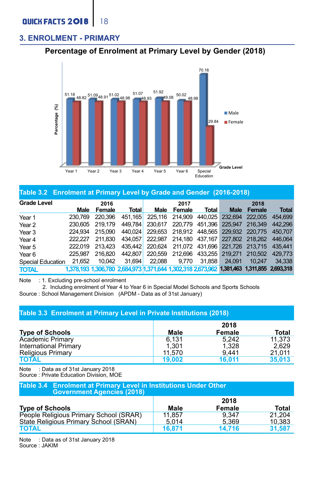#### **3. ENROLMENT - PRIMARY**

### **Percentage of Enrolment at Primary Level by Gender (2018)**



#### **Table 3.2 Enrolment at Primary Level by Grade and Gender (2016-2018)**

| Grade Level       | 2016    |         |                                                                                           | 2017    |                 |                                         | 2018            |         |              |
|-------------------|---------|---------|-------------------------------------------------------------------------------------------|---------|-----------------|-----------------------------------------|-----------------|---------|--------------|
|                   | Male    | Female  | <b>Total</b>                                                                              | Male    | Female          | Total                                   | <b>Male</b>     | Female  | <b>Total</b> |
| Year 1            | 230.769 | 220.396 | 451.165                                                                                   |         | 225.116 214.909 |                                         | 440.025 232.694 | 222,005 | 454.699      |
| Year <sub>2</sub> | 230.605 | 219.179 | 449.784                                                                                   | 230.617 |                 | 220.779 451.396 225.947                 |                 | 216.349 | 442.296      |
| Year <sub>3</sub> | 224.934 | 215,090 | 440.024                                                                                   |         |                 | 229.653 218.912 448.565 229.932 220.775 |                 |         | 450.707      |
| Year <sub>4</sub> | 222 227 | 211.830 | 434.057                                                                                   |         |                 | 222.987 214.180 437.167 227.802 218.262 |                 |         | 446.064      |
| Year 5            | 222.019 | 213.423 | 435.442                                                                                   |         |                 | 220.624 211.072 431.696 221.726 213.715 |                 |         | 435.441      |
| Year <sub>6</sub> | 225.987 | 216,820 | 442.807                                                                                   |         |                 | 220.559 212.696 433.255 219.271         |                 | 210.502 | 429,773      |
| Special Education | 21.652  | 10.042  | 31.694                                                                                    | 22,088  | 9.770           | 31,858                                  | 24.091          | 10.247  | 34.338       |
| <b>TOTAL</b>      |         |         | 1,378,193 1,306,780 2,684,973 1,371,644 1,302,318 2,673,962 1,381,463 1,311,855 2,693,318 |         |                 |                                         |                 |         |              |

Note : 1. Excluding pre-school enrolment

 2. Including enrolment of Year 4 to Year 6 in Special Model Schools and Sports Schools Source : School Management Division (APDM - Data as of 31st January)

| Table 3.3 Enrolment at Primary Level in Private Institutions (2018)                 |                          |                         |                           |  |  |  |  |
|-------------------------------------------------------------------------------------|--------------------------|-------------------------|---------------------------|--|--|--|--|
| <b>Type of Schools</b>                                                              | Male                     | 2018<br>Female          | <b>Total</b>              |  |  |  |  |
| <b>Academic Primary</b><br><b>International Primary</b><br><b>Religious Primary</b> | 6.131<br>1.301<br>11.570 | 5.242<br>1.328<br>9.441 | 11.373<br>2.629<br>21.011 |  |  |  |  |
| <b>TOTAL</b>                                                                        | 19.002                   | 16.011                  | 35.013                    |  |  |  |  |

Note : Data as of 31st January 2018 Source : Private Education Division, MOE

| Table 3.4 Enrolment at Primary Level in Institutions Under Other<br><b>Government Agencies (2018)</b> |        |        |        |  |  |  |  |  |
|-------------------------------------------------------------------------------------------------------|--------|--------|--------|--|--|--|--|--|
|                                                                                                       |        | 2018   |        |  |  |  |  |  |
| <b>Type of Schools</b>                                                                                | Male   | Female | Total  |  |  |  |  |  |
| People Religious Primary School (SRAR)                                                                | 11.857 | 9.347  | 21.204 |  |  |  |  |  |
| State Religious Primary School (SRAN)                                                                 | 5.014  | 5.369  | 10.383 |  |  |  |  |  |
| <b>TOTAL</b>                                                                                          | 16.871 | 14.716 | 31.587 |  |  |  |  |  |

Note : Data as of 31st January 2018 Source : JAKIM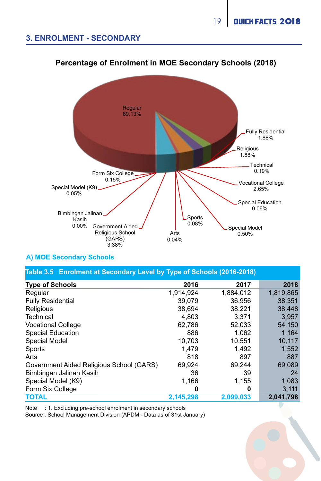### **3. ENROLMENT - SECONDARY**



### **Percentage of Enrolment in MOE Secondary Schools (2018)**

#### **A) MOE Secondary Schools**

| A) MOE Secondary Schools                                              |           |           |  |  |  |  |  |  |  |  |
|-----------------------------------------------------------------------|-----------|-----------|--|--|--|--|--|--|--|--|
| Table 3.5 Enrolment at Secondary Level by Type of Schools (2016-2018) |           |           |  |  |  |  |  |  |  |  |
| 2016                                                                  | 2017      | 2018      |  |  |  |  |  |  |  |  |
| 1.914.924                                                             | 1,884,012 | 1.819.865 |  |  |  |  |  |  |  |  |
| 39.079                                                                | 36.956    | 38.351    |  |  |  |  |  |  |  |  |
| 38.694                                                                | 38.221    | 38,448    |  |  |  |  |  |  |  |  |
| 4.803                                                                 | 3.371     | 3,957     |  |  |  |  |  |  |  |  |
| 62,786                                                                | 52,033    | 54,150    |  |  |  |  |  |  |  |  |
| 886                                                                   | 1.062     | 1.164     |  |  |  |  |  |  |  |  |
| 10.703                                                                | 10.551    | 10,117    |  |  |  |  |  |  |  |  |
| 1.479                                                                 | 1.492     | 1,552     |  |  |  |  |  |  |  |  |
| 818                                                                   | 897       | 887       |  |  |  |  |  |  |  |  |
| 69.924                                                                | 69.244    | 69,089    |  |  |  |  |  |  |  |  |
| 36                                                                    | 39        | 24        |  |  |  |  |  |  |  |  |
| 1,166                                                                 | 1.155     | 1,083     |  |  |  |  |  |  |  |  |
| 0                                                                     | 0         | 3.111     |  |  |  |  |  |  |  |  |
| 2,145,298                                                             | 2,099,033 | 2,041,798 |  |  |  |  |  |  |  |  |
|                                                                       |           |           |  |  |  |  |  |  |  |  |

Note : 1. Excluding pre-school enrolment in secondary schools

Source : School Management Division (APDM - Data as of 31st January)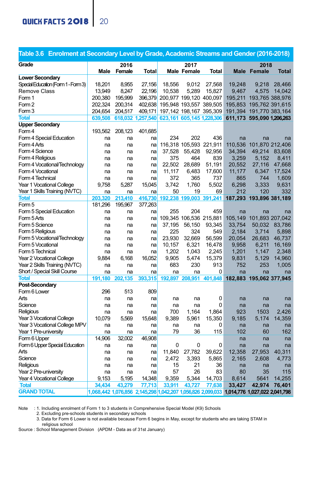### **QUICK FACTS 2018** 20

| Table 3.6 Enrolment at Secondary Level by Grade, Academic Streams and Gender (2016-2018) |                                                                                           |         |                   |                                 |                         |                           |                                 |                           |              |
|------------------------------------------------------------------------------------------|-------------------------------------------------------------------------------------------|---------|-------------------|---------------------------------|-------------------------|---------------------------|---------------------------------|---------------------------|--------------|
| Grade                                                                                    |                                                                                           | 2016    |                   |                                 | 2017                    |                           |                                 | 2018                      |              |
|                                                                                          | Male                                                                                      | Female  | Total             |                                 | <b>Male Female</b>      | <b>Total</b>              |                                 | Male Female               | <b>Total</b> |
| <b>Lower Secondary</b>                                                                   |                                                                                           |         |                   |                                 |                         |                           |                                 |                           |              |
| Special Education (Form 1 - Form 3)                                                      | 18.201                                                                                    | 8.955   | 27.156            | 18.556                          | 9.012                   | 27.568                    | 19.248                          | 9.218                     | 28.466       |
| Remove Class                                                                             | 13.949                                                                                    | 8.247   | 22.196            | 10.538                          | 5.289                   | 15.827                    | 9.467                           | 4.575                     | 14.042       |
| Form 1                                                                                   | 200.380                                                                                   | 195,999 |                   | 396.379 200.977 199.120 400.097 |                         |                           |                                 | 195,211 193,765 388,976   |              |
| Form 2                                                                                   | 202.324                                                                                   | 200.314 | 402.638           |                                 |                         | 195.948 193.557 389.505   |                                 | 195,853 195,762 391,615   |              |
| Form 3                                                                                   | 204.654                                                                                   | 204.517 | 409,171           |                                 |                         | 197,142 198,167 395,309   |                                 | 191,394 191,770 383,164   |              |
| <b>Total</b>                                                                             | 639,508                                                                                   |         | 618.032 1.257.540 |                                 |                         | 623,161 605,145 1,228,306 |                                 | 611,173 595,090 1,206,263 |              |
| <b>Upper Secondary</b>                                                                   |                                                                                           |         |                   |                                 |                         |                           |                                 |                           |              |
| Form 4                                                                                   | 193.562                                                                                   | 208,123 | 401,685           |                                 |                         |                           |                                 |                           |              |
| Form 4 Special Education                                                                 | na                                                                                        | na      | na                | 234                             | 202                     | 436                       | na                              | na                        | na           |
| Form 4 Arts                                                                              | na                                                                                        | na      | na                |                                 | 116.318 105.593 221.911 |                           |                                 | 110.536 101.870 212.406   |              |
| Form 4 Science                                                                           | na                                                                                        | na      | na                | 37.528                          | 55.428                  | 92.956                    | 34.394                          | 49.214                    | 83,608       |
| Form 4 Religious                                                                         | na                                                                                        | na      | na                | 375                             | 464                     | 839                       | 3.259                           | 5,152                     | 8.411        |
| Form 4 Vocational/Technology                                                             | na                                                                                        | na      | na                | 22.502                          | 28,689                  | 51,191                    | 20.552                          | 27,116                    | 47.668       |
| Form 4 Vocational                                                                        | na                                                                                        | na      | na                | 11.117                          | 6.483                   | 17,600                    | 11.177                          | 6.347                     | 17.524       |
| Form 4 Technical                                                                         | na                                                                                        | na      | na                | 372                             | 365                     | 737                       | 865                             | 744                       | 1.609        |
| Year 1 Vocational College                                                                | 9.758                                                                                     | 5,287   | 15.045            | 3.742                           | 1.760                   | 5.502                     | 6.298                           | 3,333                     | 9.631        |
| Year 1 Skills Training (NVTC)                                                            | na                                                                                        | na      | na                | 50                              | 19                      | 69                        | 212                             | 120                       | 332          |
| <b>Total</b>                                                                             | 203.320                                                                                   | 213.410 | 416.730           |                                 |                         | 192,238 199,003 391,241   |                                 | 187,293 193,896 381,189   |              |
| Form 5                                                                                   | 181,296                                                                                   | 195,967 | 377,263           |                                 |                         |                           |                                 |                           |              |
| Form 5 Special Education                                                                 | na                                                                                        | na      | na                | 255                             | 204                     | 459                       | na                              | na                        | na           |
| Form 5 Arts                                                                              | na                                                                                        | na      | na                |                                 | 109,345 106,536 215,881 |                           |                                 | 105,149 101,893 207,042   |              |
| Form 5 Science                                                                           | na                                                                                        | na      | na                | 37.195                          | 56,150                  | 93.345                    | 33.754                          | 50.032                    | 83.786       |
| Form 5 Religious                                                                         | na                                                                                        | na      | na                | 225                             | 324                     | 549                       | 2.184                           | 3,714                     | 5,898        |
| Form 5 Vocational/Technology                                                             | na                                                                                        | na      | na                | 23.930                          | 32.669                  | 56,599                    | 20,054                          | 26,683                    | 46,737       |
| Form 5 Vocational                                                                        | na                                                                                        | na      | na                | 10.157                          | 6,321                   | 16,478                    | 9.958                           | 6.211                     | 16,169       |
| Form 5 Technical                                                                         | na                                                                                        | na      | na                | 1,202                           | 1.043                   | 2,245                     | 1,201                           | 1,147                     | 2.348        |
| Year 2 Vocational College                                                                | 9,884                                                                                     | 6,168   | 16.052            | 9,905                           | 5,474                   | 15,379                    | 9,831                           | 5,129                     | 14,960       |
| Year 2 Skills Training (NVTC)                                                            | na                                                                                        | na      | na                | 683                             | 230                     | 913                       | 752                             | 253                       | 1,005        |
| Short / Special Skill Course                                                             | na                                                                                        | na      | na                | na                              | na                      | $\Omega$                  | na                              | na                        | na           |
| <b>Total</b>                                                                             | 191,180                                                                                   | 202.135 | 393,315           | 192,897                         | 208,951                 |                           | 401,848 182,883 195,062 377,945 |                           |              |
| Post-Secondary                                                                           |                                                                                           |         |                   |                                 |                         |                           |                                 |                           |              |
| Form 6 Lower                                                                             | 296                                                                                       | 513     | 809               |                                 |                         |                           |                                 |                           |              |
| Arts                                                                                     | na                                                                                        | na      | na                | na                              | na                      | 0                         | na                              | na                        | na           |
| Science                                                                                  | na                                                                                        | na      | na                | na                              | na                      | $\Omega$                  | na                              | na                        | na           |
| Religious                                                                                | na                                                                                        | na      | na                | 700                             | 1,164                   | 1,864                     | 923                             | 1503                      | 2.426        |
| Year 3 Vocational College                                                                | 10.079                                                                                    | 5.569   | 15.648            | 9.389                           | 5.961                   | 15.350                    | 9.185                           | 5.174                     | 14.359       |
| Year 3 Vocational College MPV                                                            | na                                                                                        | na      | na                | na                              | na                      | $\Omega$                  | na                              | na                        | na           |
| Year 1 Pre-university                                                                    | na                                                                                        | na      | na                | 79                              | 36                      | 115                       | 102                             | 60                        | 162          |
| Form 6 Upper                                                                             | 14.906                                                                                    | 32.002  | 46.908            |                                 |                         |                           | na                              | na                        | na           |
| Form 6 Upper Special Education                                                           | na                                                                                        | na      | na                | 0                               | 0                       | 0                         | na                              | na                        | na           |
| Arts                                                                                     | na                                                                                        | na      | na                | 11.840                          | 27.782                  | 39.622                    | 12.358                          | 27.953                    | 40.311       |
| Science                                                                                  | na                                                                                        | na      | na                | 2.472                           | 3.393                   | 5.865                     | 2.165                           | 2,608                     | 4.773        |
| Religious                                                                                | na                                                                                        | na      | na                | 15                              | 21                      | 36                        | na                              | na                        | na           |
| Year 2 Pre-university                                                                    | na                                                                                        | na      | na                | 57                              | 26                      | 83                        | 80                              | 35                        | 115          |
| Year 4 Vocational College                                                                | 9.153                                                                                     | 5.195   | 14.348            | 9.359                           | 5.344                   | 14.703                    | 8.614                           | 5641                      | 14.255       |
| <b>Total</b>                                                                             | 34.434                                                                                    | 43,279  | 77.713            | 33.911                          | 43.727                  | 77.638                    | 33.427                          | 42.974                    | 76.401       |
| <b>GRAND TOTAL</b>                                                                       | 1.068.442 1.076.856 2.145.298 1.042.207 1.056.826 2.099.033 1.014.776 1.027.022 2.041.798 |         |                   |                                 |                         |                           |                                 |                           |              |

Note : 1. Including enrolment of Form 1 to 3 students in Comprehensive Special Model (K9) Schools

2. Excluding pre-schools students in secondary schools

 3. Data for Form 6 Lower is not available because Form 6 begins in May, except for students who are taking STAM in religious school

Source : School Management Division (APDM - Data as of 31st January)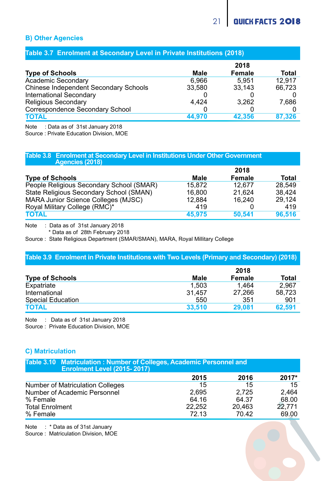#### **B) Other Agencies**

#### **Table 3.7 Enrolment at Secondary Level in Private Institutions (2018)**

|                                       |        | 2018   |              |
|---------------------------------------|--------|--------|--------------|
| <b>Type of Schools</b>                | Male   | Female | <b>Total</b> |
| Academic Secondary                    | 6.966  | 5.951  | 12.917       |
| Chinese Independent Secondary Schools | 33.580 | 33.143 | 66.723       |
| International Secondary               |        |        |              |
| <b>Religious Secondary</b>            | 4.424  | 3.262  | 7.686        |
| Correspondence Secondary School       |        |        |              |
| <b>TOTAL</b>                          | 44.970 | 42.356 | 87.326       |

Note : Data as of 31st January 2018

Source : Private Education Division, MOE

### **Table 3.8 Enrolment at Secondary Level in Institutions Under Other Government**

| Agencies (2018)                          |        |        |        |
|------------------------------------------|--------|--------|--------|
|                                          |        | 2018   |        |
| <b>Type of Schools</b>                   | Male   | Female | Total  |
| People Religious Secondary School (SMAR) | 15.872 | 12.677 | 28.549 |
| State Religious Secondary School (SMAN)  | 16,800 | 21.624 | 38.424 |
| MARA Junior Science Colleges (MJSC)      | 12.884 | 16.240 | 29.124 |
| Royal Military College (RMC)*            | 419    |        | 419    |
| <b>TOTAL</b>                             | 45,975 | 50.541 | 96.516 |

Note : Data as of 31st January 2018

\* Data as of 28th February 2018

Source : State Religious Department (SMAR/SMAN), MARA, Royal Millitary College

#### **Table 3.9 Enrolment in Private Institutions with Two Levels (Primary and Secondary) (2018)**

|                        |        | 2018   |        |
|------------------------|--------|--------|--------|
| <b>Type of Schools</b> | Male   | Female | Total  |
| Expatriate             | 1.503  | 1.464  | 2.967  |
| International          | 31.457 | 27.266 | 58.723 |
| Special Education      | 550    | 351    | 901    |
| <b>TOTAL</b>           | 33,510 | 29.081 | 62.591 |

Note : Data as of 31st January 2018

Source : Private Education Division, MOE

#### **C) Matriculation**

| Table 3.10 Matriculation: Number of Colleges, Academic Personnel and<br><b>Enrolment Level (2015-2017)</b> |        |        |        |  |  |  |  |  |
|------------------------------------------------------------------------------------------------------------|--------|--------|--------|--|--|--|--|--|
|                                                                                                            | 2015   | 2016   | 2017*  |  |  |  |  |  |
| Number of Matriculation Colleges                                                                           | 15     | 15     | 15     |  |  |  |  |  |
| Number of Academic Personnel                                                                               | 2.695  | 2.725  | 2.464  |  |  |  |  |  |
| % Female                                                                                                   | 64.16  | 64.37  | 68.00  |  |  |  |  |  |
| <b>Total Enrolment</b>                                                                                     | 22.252 | 20.463 | 22.771 |  |  |  |  |  |
| % Female                                                                                                   | 72.13  | 70.42  | 69.00  |  |  |  |  |  |

Note : \* Data as of 31st January

Source : Matriculation Division, MOE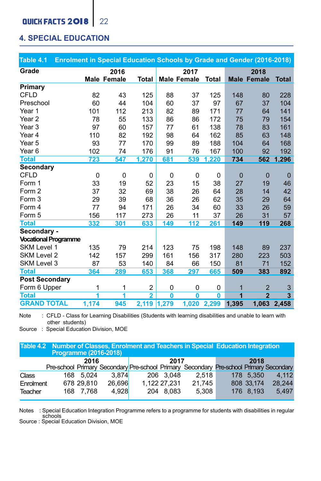### **QUICK FACTS 2018** 22

### **4. SPECIAL EDUCATION**

| Table 4.1                   | Enrolment in Special Education Schools by Grade and Gender (2016-2018) |             |                |              |                    |              |                         |                    |                         |
|-----------------------------|------------------------------------------------------------------------|-------------|----------------|--------------|--------------------|--------------|-------------------------|--------------------|-------------------------|
| Grade                       |                                                                        | 2016        |                |              | 2017               |              |                         | 2018               |                         |
|                             |                                                                        | Male Female | <b>Total</b>   |              | <b>Male Female</b> | Total        |                         | <b>Male Female</b> | <b>Total</b>            |
| Primary                     |                                                                        |             |                |              |                    |              |                         |                    |                         |
| <b>CFLD</b>                 | 82                                                                     | 43          | 125            | 88           | 37                 | 125          | 148                     | 80                 | 228                     |
| Preschool                   | 60                                                                     | 44          | 104            | 60           | 37                 | 97           | 67                      | 37                 | 104                     |
| Year 1                      | 101                                                                    | 112         | 213            | 82           | 89                 | 171          | 77                      | 64                 | 141                     |
| Year <sub>2</sub>           | 78                                                                     | 55          | 133            | 86           | 86                 | 172          | 75                      | 79                 | 154                     |
| Year <sub>3</sub>           | 97                                                                     | 60          | 157            | 77           | 61                 | 138          | 78                      | 83                 | 161                     |
| Year 4                      | 110                                                                    | 82          | 192            | 98           | 64                 | 162          | 85                      | 63                 | 148                     |
| Year 5                      | 93                                                                     | 77          | 170            | 99           | 89                 | 188          | 104                     | 64                 | 168                     |
| Year <sub>6</sub>           | 102                                                                    | 74          | 176            | 91           | 76                 | 167          | 100                     | 92                 | 192                     |
| <b>Total</b>                | 723                                                                    | 547         | 1,270          | 681          | 539                | .220         | 734                     | 562                | 1.296                   |
| Secondary                   |                                                                        |             |                |              |                    |              |                         |                    |                         |
| <b>CFLD</b>                 | 0                                                                      | 0           | 0              | 0            | $\mathbf 0$        | 0            | $\mathbf 0$             | $\mathbf 0$        | $\mathbf 0$             |
| Form 1                      | 33                                                                     | 19          | 52             | 23           | 15                 | 38           | 27                      | 19                 | 46                      |
| Form 2                      | 37                                                                     | 32          | 69             | 38           | 26                 | 64           | 28                      | 14                 | 42                      |
| Form 3                      | 29                                                                     | 39          | 68             | 36           | 26                 | 62           | 35                      | 29                 | 64                      |
| Form 4                      | 77                                                                     | 94          | 171            | 26           | 34                 | 60           | 33                      | 26                 | 59                      |
| Form 5                      | 156                                                                    | 117         | 273            | 26           | 11                 | 37           | 26                      | 31                 | 57                      |
| <b>Total</b>                | 332                                                                    | 301         | 633            | 149          | 112                | 261          | 149                     | 119                | 268                     |
| Secondary -                 |                                                                        |             |                |              |                    |              |                         |                    |                         |
| <b>Vocational Programme</b> |                                                                        |             |                |              |                    |              |                         |                    |                         |
| SKM Level 1                 | 135                                                                    | 79          | 214            | 123          | 75                 | 198          | 148                     | 89                 | 237                     |
| SKM Level 2                 | 142                                                                    | 157         | 299            | 161          | 156                | 317          | 280                     | 223                | 503                     |
| SKM Level 3                 | 87                                                                     | 53          | 140            | 84           | 66                 | 150          | 81                      | 71                 | 152                     |
| <b>Total</b>                | 364                                                                    | 289         | 653            | 368          | 297                | 665          | 509                     | 383                | 892                     |
| <b>Post Secondary</b>       |                                                                        |             |                |              |                    |              |                         |                    |                         |
| Form 6 Upper                | 1                                                                      | 1           | 2              | 0            | $\mathbf 0$        | 0            | 1                       | $\overline{2}$     | 3                       |
| <b>Total</b>                | 1                                                                      | 7           | $\overline{2}$ | $\mathbf{0}$ | $\mathbf{0}$       | $\mathbf{0}$ | $\overline{\mathbf{1}}$ | $\overline{2}$     | $\overline{\mathbf{3}}$ |
| <b>GRAND TOTAL</b>          | 1,174                                                                  | 945         | 2,119 1,279    |              | 1,020              | 2,299        | 1,395                   | 1,063              | 2,458                   |

Note : CFLD - Class for Learning Disabilities (Students with learning disabilities and unable to learn with other students)

Source : Special Education Division, MOE

|           | Programme (2016-2018) |            |        |              | Table 4.2 Number of Classes, Enrolment and Teachers in Special Education Integration   |            |        |
|-----------|-----------------------|------------|--------|--------------|----------------------------------------------------------------------------------------|------------|--------|
|           |                       | 2016       |        | 2017         | Pre-school Primary Secondary Pre-school Primary Secondary Pre-school Primary Secondary | 2018       |        |
| Class     |                       | 168 5.024  | 3.874  | 206 3.048    | 2.518                                                                                  | 178 5.350  | 4.112  |
| Enrolment |                       | 678 29.810 | 26.696 | 1.122 27.231 | 21.745                                                                                 | 808 33.174 | 28.244 |
| Teacher   |                       | 168 7.768  | 4.928  | 204 8.083    | 5.308                                                                                  | 176 8.193  | 5.497  |

Notes : Special Education Integration Programme refers to a programme for students with disabilities in regular schools

Source : Special Education Division, MOE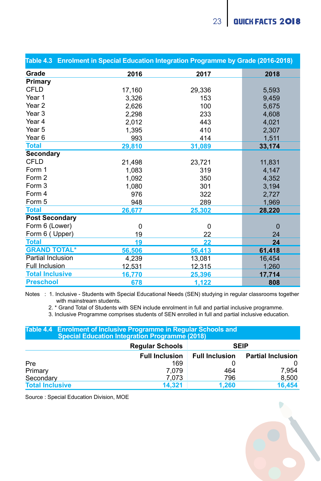|                          | Table 4.3 Enrolment in Special Education Integration Programme by Grade (2016-2018) |          |          |
|--------------------------|-------------------------------------------------------------------------------------|----------|----------|
| Grade                    | 2016                                                                                | 2017     | 2018     |
| Primary                  |                                                                                     |          |          |
| <b>CFLD</b>              | 17,160                                                                              | 29,336   | 5,593    |
| Year 1                   | 3,326                                                                               | 153      | 9,459    |
| Year 2                   | 2.626                                                                               | 100      | 5.675    |
| Year 3                   | 2,298                                                                               | 233      | 4,608    |
| Year 4                   | 2,012                                                                               | 443      | 4,021    |
| Year 5                   | 1,395                                                                               | 410      | 2,307    |
| Year 6                   | 993                                                                                 | 414      | 1,511    |
| <b>Total</b>             | 29,810                                                                              | 31,089   | 33,174   |
| Secondary                |                                                                                     |          |          |
| <b>CFLD</b>              | 21,498                                                                              | 23,721   | 11,831   |
| Form 1                   | 1,083                                                                               | 319      | 4,147    |
| Form 2                   | 1,092                                                                               | 350      | 4.352    |
| Form 3                   | 1,080                                                                               | 301      | 3,194    |
| Form 4                   | 976                                                                                 | 322      | 2.727    |
| Form 5                   | 948                                                                                 | 289      | 1.969    |
| <b>Total</b>             | 26,677                                                                              | 25,302   | 28,220   |
| <b>Post Secondary</b>    |                                                                                     |          |          |
| Form 6 (Lower)           | $\Omega$                                                                            | $\Omega$ | $\Omega$ |
| Form 6 (Upper)           | 19                                                                                  | 22       | 24       |
| <b>Total</b>             | 19                                                                                  | 22       | 24       |
| <b>GRAND TOTAL*</b>      | 56,506                                                                              | 56,413   | 61,418   |
| <b>Partial Inclusion</b> | 4,239                                                                               | 13,081   | 16,454   |
| Full Inclusion           | 12.531                                                                              | 12.315   | 1.260    |
| <b>Total Inclusive</b>   | 16,770                                                                              | 25,396   | 17,714   |
| <b>Preschool</b>         | 678                                                                                 | 1,122    | 808      |

Notes : 1. Inclusive - Students with Special Educational Needs (SEN) studying in regular classrooms together with mainstream students.

2. \* Grand Total of Students with SEN include enrolment in full and partial inclusive programme.

3. Inclusive Programme comprises students of SEN enrolled in full and partial inclusive education.

**Table 4.4 Enrolment of Inclusive Programme in Regular Schools and Special Education Integration Programme (2018)**

|                        | <b>Regular Schools</b> |                       | <b>SEIP</b>              |
|------------------------|------------------------|-----------------------|--------------------------|
|                        | <b>Full Inclusion</b>  | <b>Full Inclusion</b> | <b>Partial Inclusion</b> |
| Pre                    | 169                    |                       |                          |
| Primary                | 7.079                  | 464                   | 7.954                    |
| Secondary              | 7.073                  | 796                   | 8.500                    |
| <b>Total Inclusive</b> | 14.321                 | 1.260                 | 16.454                   |

Source : Special Education Division, MOE

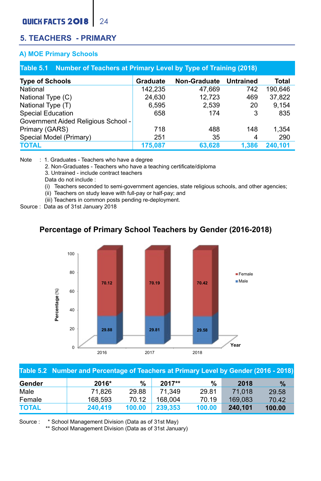### QUICK FACTS 2018 24

### **5. TEACHERS - PRIMARY**

#### **A) MOE Primary Schools**

| Table 5.1 Number of Teachers at Primary Level by Type of Training (2018) |          |                     |           |         |  |  |  |  |  |  |
|--------------------------------------------------------------------------|----------|---------------------|-----------|---------|--|--|--|--|--|--|
| <b>Type of Schools</b>                                                   | Graduate | <b>Non-Graduate</b> | Untrained | Total   |  |  |  |  |  |  |
| National                                                                 | 142.235  | 47.669              | 742       | 190.646 |  |  |  |  |  |  |
| National Type (C)                                                        | 24.630   | 12.723              | 469       | 37.822  |  |  |  |  |  |  |
| National Type (T)                                                        | 6.595    | 2.539               | 20        | 9.154   |  |  |  |  |  |  |
| Special Education                                                        | 658      | 174                 | 3         | 835     |  |  |  |  |  |  |
| Government Aided Religious School -                                      |          |                     |           |         |  |  |  |  |  |  |
| Primary (GARS)                                                           | 718      | 488                 | 148       | 1.354   |  |  |  |  |  |  |
| Special Model (Primary)                                                  | 251      | 35                  | 4         | 290     |  |  |  |  |  |  |
| <b>TOTAL</b>                                                             | 175.087  | 63.628              | 1.386     | 240.101 |  |  |  |  |  |  |

Note : 1. Graduates - Teachers who have a degree

2. Non-Graduates - Teachers who have a teaching certificate/diploma

3. Untrained - include contract teachers

Data do not include :

(i) Teachers seconded to semi-government agencies, state religious schools, and other agencies;

(ii) Teachers on study leave with full-pay or half-pay; and

(iii) Teachers in common posts pending re-deployment.

Source : Data as of 31st January 2018

### **Percentage of Primary School Teachers by Gender (2016-2018) Percentage of Primary School Teachers by Gender (2016-2018)**



|              | Table 5.2 Number and Percentage of Teachers at Primary Level by Gender (2016 - 2018) |        |         |        |         |               |
|--------------|--------------------------------------------------------------------------------------|--------|---------|--------|---------|---------------|
| Gender       | 2016*                                                                                | %      | 2017**  | %      | 2018    | $\frac{9}{6}$ |
| Male         | 71.826                                                                               | 29.88  | 71.349  | 29.81  | 71.018  | 29.58         |
| Female       | 168.593                                                                              | 70.12  | 168.004 | 70.19  | 169.083 | 70.42         |
| <b>TOTAL</b> | 240.419                                                                              | 100.00 | 239.353 | 100.00 | 240.101 | 100.00        |

Source : \* School Management Division (Data as of 31st May)

\*\* School Management Division (Data as of 31st January)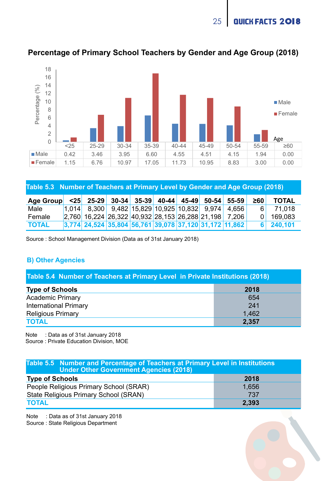25 QUICK FACTS 2018



#### **Percentage of Primary School Teachers by Gender and Age Group (2018)**

**Table 5.3 Number of Teachers at Primary Level by Gender and Age Group (2018)**

| Age Group <25 25-29 30-34 35-39 40-44 45-49 50-54 55-59 |                                                            |  |  |  | 260            | <b>TOTAL</b> |
|---------------------------------------------------------|------------------------------------------------------------|--|--|--|----------------|--------------|
| Male                                                    | 1.014 8.300 9.482 15.829 10.925 10.832 9.974 4.656         |  |  |  | 6 <sup>1</sup> | 71.018       |
| Female                                                  | 2,760 16,224 26,322 40,932 28,153 26,288 21,198 7,206      |  |  |  |                | $0$ 169.083  |
| <b>TOTAL</b>                                            | $ 3,774 $ 24,524 35,804 56,761 39,078 37,120 31,172 11,862 |  |  |  |                | 6 240,101    |

Source : School Management Division (Data as of 31st January 2018)

#### **B) Other Agencies**

| Table 5.4 Number of Teachers at Primary Level in Private Institutions (2018) |       |  |  |  |  |  |  |
|------------------------------------------------------------------------------|-------|--|--|--|--|--|--|
| <b>Type of Schools</b>                                                       | 2018  |  |  |  |  |  |  |
| Academic Primary                                                             | 654   |  |  |  |  |  |  |
| <b>International Primary</b>                                                 | 241   |  |  |  |  |  |  |
| <b>Religious Primary</b>                                                     | 1.462 |  |  |  |  |  |  |
| <b>TOTAL</b>                                                                 | 2.357 |  |  |  |  |  |  |

Note : Data as of 31st January 2018 Source : Private Education Division, MOE

**Table 5.5 Number and Percentage of Teachers at Primary Level in Institutions Under Other Government Agencies (2018) Type of Schools** People Religious Primary School (SRAR) State Religious Primary School (SRAN) **TOTAL 2018** 1,656 737 **2,393**

Note : Data as of 31st January 2018 Source : State Religious Department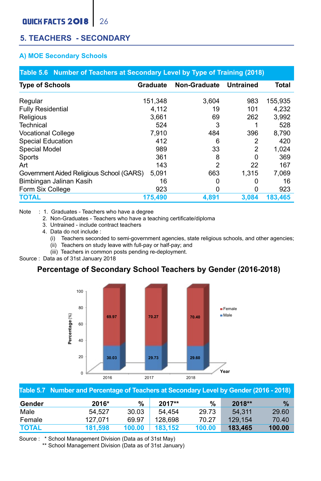### **5. TEACHERS - SECONDARY**

#### **A) MOE Secondary Schools**

| Table 5.6 Number of Teachers at Secondary Level by Type of Training (2018) |          |                |                |         |  |  |  |  |  |  |
|----------------------------------------------------------------------------|----------|----------------|----------------|---------|--|--|--|--|--|--|
| <b>Type of Schools</b>                                                     | Graduate | Non-Graduate   | Untrained      | Total   |  |  |  |  |  |  |
| Regular                                                                    | 151.348  | 3.604          | 983            | 155.935 |  |  |  |  |  |  |
| <b>Fully Residential</b>                                                   | 4.112    | 19             | 101            | 4.232   |  |  |  |  |  |  |
| Religious                                                                  | 3.661    | 69             | 262            | 3.992   |  |  |  |  |  |  |
| Technical                                                                  | 524      | 3              |                | 528     |  |  |  |  |  |  |
| <b>Vocational College</b>                                                  | 7.910    | 484            | 396            | 8.790   |  |  |  |  |  |  |
| Special Education                                                          | 412      | 6              | 2              | 420     |  |  |  |  |  |  |
| Special Model                                                              | 989      | 33             | $\overline{2}$ | 1.024   |  |  |  |  |  |  |
| Sports                                                                     | 361      | 8              | 0              | 369     |  |  |  |  |  |  |
| Art                                                                        | 143      | $\overline{2}$ | 22             | 167     |  |  |  |  |  |  |
| Government Aided Religious School (GARS)                                   | 5.091    | 663            | 1.315          | 7.069   |  |  |  |  |  |  |
| Bimbingan Jalinan Kasih                                                    | 16       | 0              | 0              | 16      |  |  |  |  |  |  |
| Form Six College                                                           | 923      | 0              | 0              | 923     |  |  |  |  |  |  |
| <b>TOTAL</b>                                                               | 175,490  | 4.891          | 3.084          | 183.465 |  |  |  |  |  |  |

Note : 1. Graduates - Teachers who have a degree

2. Non-Graduates - Teachers who have a teaching certificate/diploma

- 3. Untrained include contract teachers
- 4. Data do not include :
	- (i) Teachers seconded to semi-government agencies, state religious schools, and other agencies;
	- (ii) Teachers on study leave with full-pay or half-pay; and
	- (iii) Teachers in common posts pending re-deployment.

Source : Data as of 31st January 2018

### **Percentage of Secondary School Teachers by Gender (2016-2018) Percentage of Secondary School Teachers by Gender (2016-2018)**



|              | Table 5.7 Number and Percentage of Teachers at Secondary Level by Gender (2016 - 2018) |        |         |        |         |               |
|--------------|----------------------------------------------------------------------------------------|--------|---------|--------|---------|---------------|
| Gender       | 2016*                                                                                  | %      | 2017**  | %      | 2018**  | $\frac{9}{6}$ |
| Male         | 54.527                                                                                 | 30.03  | 54.454  | 29.73  | 54.311  | 29.60         |
| Female       | 127.071                                                                                | 69.97  | 128.698 | 70.27  | 129.154 | 70.40         |
| <b>TOTAL</b> | 181.598                                                                                | 100.00 | 183.152 | 100.00 | 183.465 | 100.00        |

Source : \* School Management Division (Data as of 31st May)

\*\* School Management Division (Data as of 31st January)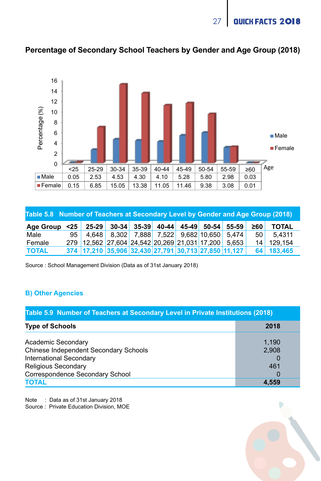27 QUICK FACTS 2018



### **Percentage of Secondary School Teachers by Gender and Age Group (2018)**

| Table 5.8 Number of Teachers at Secondary Level by Gender and Age Group (2018) |  |                                                                   |  |  |  |  |  |  |                 |              |  |
|--------------------------------------------------------------------------------|--|-------------------------------------------------------------------|--|--|--|--|--|--|-----------------|--------------|--|
| Age Group                                                                      |  | $\leq$ 25   25 29   30 34   35 39   40 44   45 49   50 54   55 59 |  |  |  |  |  |  | 260             | <b>TOTAL</b> |  |
| Male                                                                           |  | 95 4.648 8.302 7.888 7.522 9.682 10.650 5.474                     |  |  |  |  |  |  | 50 <sub>1</sub> | 5.4311       |  |
| Female                                                                         |  | 279 12.562 27.604 24.542 20.269 21.031 17.200 5.653               |  |  |  |  |  |  | 14 <sup>1</sup> | 129.154      |  |
| <b>TOTAL</b>                                                                   |  | 374 17,210 35,906 32,430 27,791 30,713 27,850 11,127              |  |  |  |  |  |  |                 | 64 183,465   |  |

Source : School Management Division (Data as of 31st January 2018)

#### **B) Other Agencies**

| Table 5.9 Number of Teachers at Secondary Level in Private Institutions (2018) |       |
|--------------------------------------------------------------------------------|-------|
| <b>Type of Schools</b>                                                         | 2018  |
| Academic Secondary                                                             | 1.190 |
| Chinese Independent Secondary Schools                                          | 2.908 |
| International Secondary                                                        |       |
| Religious Secondary                                                            | 461   |
| Correspondence Secondary School                                                |       |
| <b>TOTAL</b>                                                                   | 4.559 |

Note : Data as of 31st January 2018

Source : Private Education Division, MOE

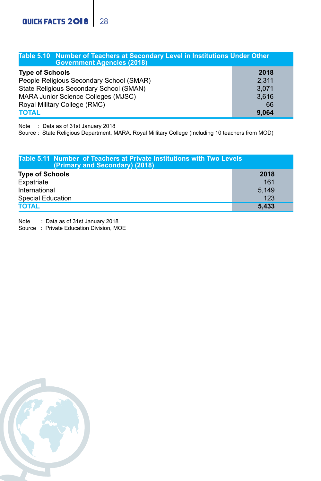| Table 5.10 Number of Teachers at Secondary Level in Institutions Under Other<br><b>Government Agencies (2018)</b> |       |  |  |  |  |  |  |  |  |
|-------------------------------------------------------------------------------------------------------------------|-------|--|--|--|--|--|--|--|--|
| <b>Type of Schools</b>                                                                                            | 2018  |  |  |  |  |  |  |  |  |
| People Religious Secondary School (SMAR)                                                                          | 2.311 |  |  |  |  |  |  |  |  |
| State Religious Secondary School (SMAN)                                                                           | 3.071 |  |  |  |  |  |  |  |  |
| MARA Junior Science Colleges (MJSC)                                                                               | 3.616 |  |  |  |  |  |  |  |  |
| Royal Military College (RMC)                                                                                      | 66    |  |  |  |  |  |  |  |  |
| <b>TOTAL</b>                                                                                                      | 9.064 |  |  |  |  |  |  |  |  |

Note : Data as of 31st January 2018

Source : State Religious Department, MARA, Royal Millitary College (Including 10 teachers from MOD)

| Table 5.11 Number of Teachers at Private Institutions with Two Levels<br>(Primary and Secondary) (2018) |       |  |  |  |  |  |  |  |  |
|---------------------------------------------------------------------------------------------------------|-------|--|--|--|--|--|--|--|--|
| <b>Type of Schools</b>                                                                                  | 2018  |  |  |  |  |  |  |  |  |
| Expatriate                                                                                              | 161   |  |  |  |  |  |  |  |  |
| International                                                                                           | 5.149 |  |  |  |  |  |  |  |  |
| Special Education                                                                                       | 123   |  |  |  |  |  |  |  |  |
| <b>TOTAL</b>                                                                                            | 5.433 |  |  |  |  |  |  |  |  |

Note : Data as of 31st January 2018

Source : Private Education Division, MOE

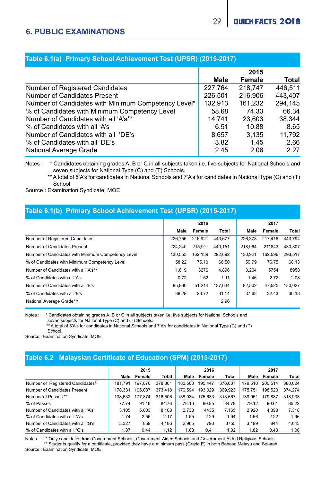|  | Table 6.1(a) Primary School Achievement Test (UPSR) (2015-2017) \ |  |  |
|--|-------------------------------------------------------------------|--|--|
|--|-------------------------------------------------------------------|--|--|

|                                                     |         | 2015    |         |
|-----------------------------------------------------|---------|---------|---------|
|                                                     | Male    | Female  | Total   |
| Number of Registered Candidates                     | 227.764 | 218.747 | 446.511 |
| Number of Candidates Present                        | 226.501 | 216,906 | 443.407 |
| Number of Candidates with Minimum Competency Level* | 132.913 | 161.232 | 294.145 |
| % of Candidates with Minimum Competency Level       | 58.68   | 74.33   | 66.34   |
| Number of Candidates with all 'A's**                | 14.741  | 23.603  | 38.344  |
| % of Candidates with all 'A's                       | 6.51    | 10.88   | 8.65    |
| Number of Candidates with all 'DE's                 | 8.657   | 3.135   | 11.792  |
| % of Candidates with all 'DE's                      | 3.82    | 1.45    | 2.66    |
| National Average Grade                              | 2.45    | 2.08    | 2.27    |

Notes : \* Candidates obtaining grades A, B or C in all subjects taken i.e. five subjects for National Schools and seven subjects for National Type (C) and (T) Schools.

 \*\* A total of 5'A's for candidates in National Schools and 7'A's for candidates in National Type (C) and (T) School.

Source : Examination Syndicate, MOE

| Table 6.1(b) Primary School Achievement Test (UPSR) (2015-2017) |         |         |              |         |         |         |  |  |  |  |  |
|-----------------------------------------------------------------|---------|---------|--------------|---------|---------|---------|--|--|--|--|--|
|                                                                 |         | 2016    |              |         | 2017    |         |  |  |  |  |  |
|                                                                 | Male    | Female  | <b>Total</b> | Male    | Female  | Total   |  |  |  |  |  |
| Number of Registered Candidates                                 | 226,756 | 216.921 | 443.677      | 226.378 | 217.416 | 443.794 |  |  |  |  |  |
| Number of Candidates Present                                    | 224.240 | 215.911 | 440.151      | 218,964 | 211843  | 430.807 |  |  |  |  |  |
| Number of Candidates with Minimum Competency Level*             | 130.553 | 162.139 | 292.692      | 130.921 | 162.596 | 293.517 |  |  |  |  |  |
| % of Candidates with Minimum Competency Level                   | 58.22   | 75.10   | 66.50        | 59.79   | 76 75   | 68.13   |  |  |  |  |  |
| Number of Candidates with all 'A's**                            | 1.619   | 3276    | 4.896        | 3.204   | 5754    | 8958    |  |  |  |  |  |
| % of Candidates with all 'A's                                   | 0.72    | 1.52    | 1.11         | 1.46    | 2.72    | 2.08    |  |  |  |  |  |
| Number of Candidates with all 'E's                              | 85.830  | 51.214  | 137.044      | 82.502  | 47.525  | 130.027 |  |  |  |  |  |
| % of Candidates with all 'F's                                   | 38.28   | 23.72   | 31.14        | 37.68   | 22 43   | 30.18   |  |  |  |  |  |
| National Average Grade***                                       |         |         | 2.96         |         |         |         |  |  |  |  |  |

Notes : \* Candidates obtaining grades A, B or C in all subjects taken i.e. five subjects for National Schools and seven subjects for National Type (C) and (T) Schools.

\*\* A total of 5'A's for candidates in National Schools and 7'A's for candidates in National Type (C) and (T)

School.

Source : Examination Syndicate, MOE

#### **Table 6.2 Malaysian Certificate of Education (SPM) (2015-2017)**

|                                    | 2015    |         |         |         | 2016    |         |         | 2017    |         |
|------------------------------------|---------|---------|---------|---------|---------|---------|---------|---------|---------|
|                                    | Male    | Female  | Total   | Male    | Female  | Total   | Male    | Female  | Total   |
| Number of Registered Candidates*   | 181.791 | 197.070 | 378,861 | 180,560 | 195.447 | 376.007 | 179,510 | 200,514 | 380.024 |
| Number of Candidates Present       | 178.331 | 195.087 | 373,418 | 176.594 | 193.329 | 369.923 | 175.751 | 198.523 | 374,274 |
| Number of Passes **                | 138.632 | 177,874 | 316,506 | 138.034 | 175.633 | 313.667 | 139.051 | 179.887 | 318,938 |
| % of Passes                        | 77 74   | 91.18   | 84.76   | 78.16   | 90.85   | 84.79   | 79 12   | 90.61   | 85.22   |
| Number of Candidates with all 'A's | 3.105   | 5.003   | 8.108   | 2.730   | 4435    | 7.165   | 2.920   | 4.398   | 7.318   |
| % of Candidates with all 'A's      | 1.74    | 2.56    | 2.17    | 1.55    | 2.29    | 1.94    | 1.66    | 2.22    | 1.96    |
| Number of Candidates with all 'G's | 3.327   | 859     | 4.186   | 2.965   | 790     | 3755    | 3.199   | 844     | 4.043   |
| % of Candidates with all 'G's      | 1.87    | 0.44    | 1.12    | 1.68    | 0.41    | 1.02    | 1.82    | 0.43    | 1.08    |

Notes : \* Only candidates from Government Schools, Government-Aided Schools and Government-Aided Religious Schools

 \*\* Students qualify for a certificate, provided they have a minimum pass (Grade E) in both Bahasa Melayu and Sejarah Source : Examination Syndicate, MOE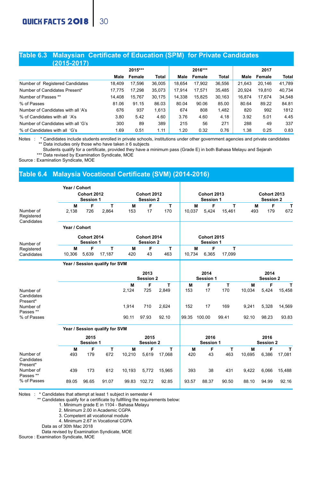#### **Table 6.3 Malaysian Certificate of Education (SPM) for Private Candidates (2015-2017)**

| .                                  |        |         |        |        |         |        |        |        |              |
|------------------------------------|--------|---------|--------|--------|---------|--------|--------|--------|--------------|
|                                    |        | 2015*** |        |        | 2016*** |        |        | 2017   |              |
|                                    | Male   | Female  | Total  | Male   | Female  | Total  | Male   | Female | <b>Total</b> |
| Number of Registered Candidates    | 18,409 | 17.596  | 36.005 | 18.654 | 17,902  | 36.556 | 21.643 | 20.146 | 41.789       |
| Number of Candidates Present*      | 17.775 | 17.298  | 35.073 | 17.914 | 17.571  | 35.485 | 20.924 | 19,810 | 40.734       |
| Number of Passes **                | 14.408 | 15.767  | 30.175 | 14.338 | 15.825  | 30.163 | 16.874 | 17.674 | 34.548       |
| % of Passes                        | 81.06  | 91.15   | 86.03  | 80.04  | 90.06   | 85.00  | 80.64  | 89.22  | 84.81        |
| Number of Candidates with all 'A's | 676    | 937     | 1.613  | 674    | 808     | 1.482  | 820    | 992    | 1812         |
| % of Candidates with all 'A's      | 3.80   | 5.42    | 4.60   | 3.76   | 4.60    | 4.18   | 3.92   | 5.01   | 4.45         |
| Number of Candidates with all 'G's | 300    | 89      | 389    | 215    | 56      | 271    | 288    | 49     | 337          |
| % of Candidates with all 'G's      | 169    | 0.51    | 1.11   | 1 20   | 0.32    | 0.76   | 1.38   | 0.25   | 0.83         |

Notes : \* Candidates include students enrolled in private schools, institutions under other government agencies and private candidates \*\* Data includes only those who have taken ≥ 6 subjects 

Students qualify for a certificate, provided they have a minimum pass (Grade E) in both Bahasa Melayu and Sejarah

\*\*\* Data revised by Examination Syndicate, MOE

Source : Examination Syndicate, MOE

#### **Table 6.4 Malaysia Vocational Certificate (SVM) (2014-2016)**

|                                               | Year / Cohort                   |                          |                                |            |                          |            |          |                                 |             |                                 |                   |             |  |
|-----------------------------------------------|---------------------------------|--------------------------|--------------------------------|------------|--------------------------|------------|----------|---------------------------------|-------------|---------------------------------|-------------------|-------------|--|
|                                               | <b>Cohort 2012</b><br>Session 1 |                          |                                |            | Cohort 2012<br>Session 2 |            |          | <b>Cohort 2013</b><br>Session 1 |             | <b>Cohort 2013</b><br>Session 2 |                   |             |  |
| Number of<br>Registered<br>Candidates         | M<br>2.138                      | F<br>726                 | т<br>2,864                     | м<br>153   | F<br>17                  | т<br>170   | 10.037   | F<br>м<br>5,424                 | т<br>15.461 | М<br>493                        | F<br>179          | т<br>672    |  |
| Number of                                     | Year / Cohort                   | Cohort 2014<br>Session 1 |                                |            | Cohort 2014<br>Session 2 |            |          | <b>Cohort 2015</b><br>Session 1 |             |                                 |                   |             |  |
| Registered<br>Candidates                      | М<br>10.306                     | F<br>5.639               | т<br>17.187                    | м<br>420   | F<br>43                  | т<br>463   | 10.734   | F<br>M<br>6.365                 | т<br>17.099 |                                 |                   |             |  |
|                                               |                                 |                          | Year / Session qualify for SVM |            | 2013                     |            |          | 2014                            |             |                                 | 2014              |             |  |
|                                               |                                 |                          |                                |            | Session 2                |            |          | Session 1                       |             |                                 | Session 2         |             |  |
| Number of<br>Candidates                       |                                 |                          |                                | M<br>2.124 | F<br>725                 | т<br>2.849 | M<br>153 | F<br>17                         | т<br>170    | M<br>10.034                     | F<br>5.424        | т<br>15.458 |  |
| Present*<br>Number of<br>Passes <sup>**</sup> |                                 |                          |                                | 1.914      | 710                      | 2.624      | 152      | 17                              | 169         | 9.241                           | 5.328             | 14.569      |  |
| % of Passes                                   |                                 |                          |                                | 90.11      | 97.93                    | 92.10      | 99.35    | 100.00                          | 99.41       | 92.10                           | 98.23             | 93.83       |  |
|                                               |                                 |                          | Year / Session qualify for SVM |            |                          |            |          |                                 |             |                                 |                   |             |  |
|                                               |                                 | 2015<br>Session 1        |                                |            | 2015<br>Session 2        |            |          | 2016<br>Session 1               |             |                                 | 2016<br>Session 2 |             |  |
|                                               | M                               | F                        | т                              | M          | F                        | т          | M        | F                               | т           | M                               | F                 | т           |  |

|             | м     |       |       | м      |        |        | м     | Е     |       | м      | - 6   | $\mathbf{r}$ |
|-------------|-------|-------|-------|--------|--------|--------|-------|-------|-------|--------|-------|--------------|
| Number of   | 493   | 179   | 672   | 10.210 | 5.619  | 17.068 | 420   | 43    | 463   | 10.695 | 6.386 | 17.081       |
| Candidates  |       |       |       |        |        |        |       |       |       |        |       |              |
| Present*    |       |       |       |        |        |        |       |       |       |        |       |              |
| Number of   | 439   | 173   | 612   | 10.193 | 5.772  | 15.965 | 393   | 38    | 431   | 9.422  | 6.066 | 15,488       |
| Passes **   |       |       |       |        |        |        |       |       |       |        |       |              |
| % of Passes | 89.05 | 96.65 | 91.07 | 99.83  | 102.72 | 92.85  | 93.57 | 88.37 | 90.50 | 88.10  | 94.99 | 92.16        |
|             |       |       |       |        |        |        |       |       |       |        |       |              |

Notes : \* Candidates that attempt at least 1 subject in semester 4 \*\* Candidates qualify for a certificate by fullfiling the requirements below:

1. Minimum grade E in 1104 - Bahasa Melayu

2. Minimum 2.00 in Academic CGPA

3. Competent all vocational module

- 4. Minimum 2.67 in Vocational CGPA
- Data as of 30th Mac 2018

Data revised by Examination Syndicate, MOE

Source : Examination Syndicate, MOE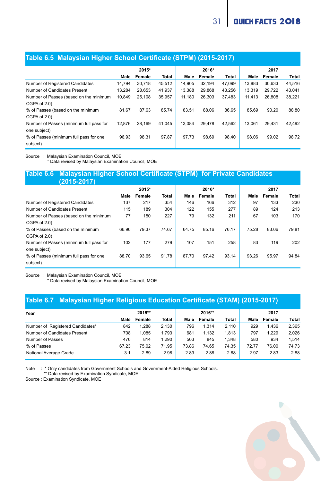| <b>Table 0.0 MalaySian Higher Oction Certificate (OTFM) (2010-2017)</b> |        |        |              |        |        |        |        |        |        |
|-------------------------------------------------------------------------|--------|--------|--------------|--------|--------|--------|--------|--------|--------|
|                                                                         |        | 2015*  |              |        | 2016*  |        |        | 2017   |        |
|                                                                         | Male   | Female | <b>Total</b> | Male   | Female | Total  | Male   | Female | Total  |
| Number of Registered Candidates                                         | 14.794 | 30.718 | 45.512       | 14.905 | 32.194 | 47.099 | 13.883 | 30.633 | 44.516 |
| Number of Candidates Present                                            | 13.284 | 28.653 | 41.937       | 13.388 | 29.868 | 43.256 | 13,319 | 29,722 | 43.041 |
| Number of Passes (based on the minimum                                  | 10.849 | 25.108 | 35.957       | 11.180 | 26.303 | 37.483 | 11.413 | 26,808 | 38.221 |
| CGPA of 2.0)                                                            |        |        |              |        |        |        |        |        |        |
| % of Passes (based on the minimum                                       | 81.67  | 87.63  | 85.74        | 83.51  | 88.06  | 86 65  | 85.69  | 90.20  | 88.80  |
| CGPA of 2.0)                                                            |        |        |              |        |        |        |        |        |        |
| Number of Passes (minimum full pass for                                 | 12.876 | 28.169 | 41.045       | 13.084 | 29.478 | 42.562 | 13.061 | 29.431 | 42.492 |
| one subject)                                                            |        |        |              |        |        |        |        |        |        |
| % of Passes (minimum full pass for one                                  | 96.93  | 98.31  | 97.87        | 97.73  | 98.69  | 98.40  | 98.06  | 99.02  | 98.72  |
| subject)                                                                |        |        |              |        |        |        |        |        |        |

#### **Table 6.5 Malaysian Higher School Certificate (STPM) (2015-2017)**

Source : Malaysian Examination Council, MOE \* Data revised by Malaysian Examination Council, MOE

#### **Table 6.6 Malaysian Higher School Certificate (STPM) for Private Candidates (2015-2017)**

|       | 2015*  |              |       | 2016*  |       |       | 2017   |       |
|-------|--------|--------------|-------|--------|-------|-------|--------|-------|
| Male  | Female | <b>Total</b> | Male  | Female | Total | Male  | Female | Total |
| 137   | 217    | 354          | 146   | 166    | 312   | 97    | 133    | 230   |
| 115   | 189    | 304          | 122   | 155    | 277   | 89    | 124    | 213   |
| 77    | 150    | 227          | 79    | 132    | 211   | 67    | 103    | 170   |
|       |        |              |       |        |       |       |        |       |
| 66.96 | 79.37  | 74.67        | 64.75 | 85.16  | 76.17 | 75 28 | 83.06  | 79.81 |
|       |        |              |       |        |       |       |        |       |
| 102   | 177    | 279          | 107   | 151    | 258   | 83    | 119    | 202   |
|       |        |              |       |        |       |       |        |       |
| 88.70 | 93.65  | 91.78        | 8770  | 9742   | 93.14 | 93 26 | 95.97  | 94.84 |
|       |        |              |       |        |       |       |        |       |
|       |        |              |       |        |       |       |        |       |

Source : Malaysian Examination Council, MOE

\* Data revised by Malaysian Examination Council, MOE

#### **Table 6.7 Malaysian Higher Religious Education Certificate (STAM) (2015-2017)**

| Year                             | 2015** |        |              | 2016** |        |       | 2017  |        |       |
|----------------------------------|--------|--------|--------------|--------|--------|-------|-------|--------|-------|
|                                  | Male   | Female | <b>Total</b> | Male   | Female | Total | Male  | Female | Total |
| Number of Registered Candidates* | 842    | 1.288  | 2.130        | 796    | 1.314  | 2.110 | 929   | 1.436  | 2.365 |
| Number of Candidates Present     | 708    | 1.085  | 1.793        | 681    | 1.132  | 1.813 | 797   | 1.229  | 2.026 |
| Number of Passes                 | 476    | 814    | 1.290        | 503    | 845    | 1.348 | 580   | 934    | 1.514 |
| % of Passes                      | 67 23  | 75.02  | 71 95        | 7386   | 74.65  | 74.35 | 72.77 | 76.00  | 74.73 |
| National Average Grade           | 3.1    | 2.89   | 2.98         | 2.89   | 2.88   | 2.88  | 2.97  | 2.83   | 2.88  |

Note : \* Only candidates from Government Schools and Government-Aided Religious Schools.

\*\* Data revised by Examination Syndicate, MOE

Source : Examination Syndicate, MOE

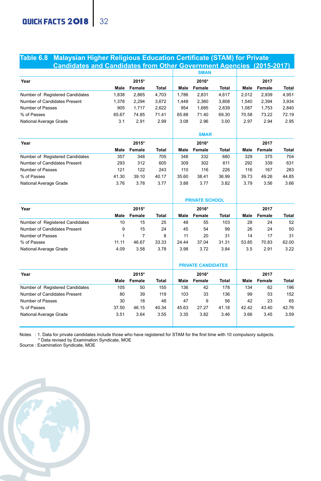#### **Table 6.8 Malaysian Higher Religious Education Certificate (STAM) for Private Candidates and Candidates from Other Government Agencies (2015-2017)**

|                                 |       |        |       |       | <b>SMAN</b> |       |       |        |       |
|---------------------------------|-------|--------|-------|-------|-------------|-------|-------|--------|-------|
| Year                            |       | 2015*  |       |       | 2016*       |       |       | 2017   |       |
|                                 | Male  | Female | Total | Male  | Female      | Total | Male  | Female | Total |
| Number of Registered Candidates | 1.838 | 2.865  | 4.703 | 1.786 | 2.831       | 4.617 | 2.012 | 2,939  | 4,951 |
| Number of Candidates Present    | 1.378 | 2,294  | 3,672 | 1.448 | 2.360       | 3.808 | 1.540 | 2,394  | 3,934 |
| Number of Passes                | 905   | 1.717  | 2.622 | 954   | 1.685       | 2.639 | 1.087 | 1.753  | 2,840 |
| % of Passes                     | 65.67 | 74.85  | 71.41 | 65.88 | 71.40       | 69.30 | 70.58 | 73.22  | 72.19 |
| National Average Grade          | 3.1   | 2.91   | 2.99  | 3.08  | 2.96        | 3.00  | 2.97  | 2.94   | 2.95  |
|                                 |       |        |       |       | <b>SMAR</b> |       |       |        |       |
| Year                            |       | 2015*  |       |       | 2016*       |       |       | 2017   |       |
|                                 | Male  | Female | Total | Male  | Female      | Total | Male  | Female | Total |
| Number of Registered Candidates | 357   | 348    | 705   | 348   | 332         | 680   | 329   | 375    | 704   |
| Number of Candidates Present    | 293   | 312    | 605   | 309   | 302         | 611   | 292   | 339    | 631   |
| Number of Passes                | 121   | 122    | 243   | 110   | 116         | 226   | 116   | 167    | 283   |
| % of Passes                     | 41.30 | 39.10  | 40.17 | 35.60 | 38.41       | 36.99 | 39.73 | 49.26  | 44.85 |
| National Average Grade          | 3.76  | 3.78   | 3.77  | 3.88  | 3.77        | 3.82  | 3.79  | 3.56   | 3.66  |
|                                 |       |        |       |       |             |       |       |        |       |

|                                 |       |        |       |       | <b>PRIVATE SCHOOL</b>     |       |       |        |              |
|---------------------------------|-------|--------|-------|-------|---------------------------|-------|-------|--------|--------------|
| Year                            |       | 2015*  |       |       | 2016*                     |       |       | 2017   |              |
|                                 | Male  | Female | Total | Male  | Female                    | Total | Male  | Female | <b>Total</b> |
| Number of Registered Candidates | 10    | 15     | 25    | 48    | 55                        | 103   | 28    | 24     | 52           |
| Number of Candidates Present    | 9     | 15     | 24    | 45    | 54                        | 99    | 26    | 24     | 50           |
| Number of Passes                |       |        | 8     | 11    | 20                        | 31    | 14    | 17     | 31           |
| % of Passes                     | 11.11 | 46.67  | 33.33 | 24 44 | 37.04                     | 31.31 | 53.85 | 70.83  | 62.00        |
| National Average Grade          | 4.09  | 3.58   | 3.78  | 3.98  | 3.72                      | 3.84  | 3.5   | 2.91   | 3.22         |
|                                 |       |        |       |       | <b>PRIVATE CANDIDATES</b> |       |       |        |              |
|                                 |       |        |       |       |                           |       |       |        |              |

| Year                            |       | 2015*  |       |       | 2016*  |       |       | 2017   |              |
|---------------------------------|-------|--------|-------|-------|--------|-------|-------|--------|--------------|
|                                 | Male  | Female | Total | Male  | Female | Total | Male  | Female | <b>Total</b> |
| Number of Registered Candidates | 105   | 50     | 155   | 136   | 42     | 178   | 134   | 62     | 196          |
| Number of Candidates Present    | 80    | 39     | 119   | 103   | 33     | 136   | 99    | 53     | 152          |
| Number of Passes                | 30    | 18     | 48    | 47    | 9      | 56    | 42    | 23     | 65           |
| % of Passes                     | 37.50 | 46 15  | 40.34 | 45.63 | 27 27  | 41.18 | 42.42 | 43.40  | 4276         |
| National Average Grade          | 3.51  | 3.64   | 3.55  | 3.35  | 3.82   | 3.46  | 3.66  | 3.45   | 3.59         |
|                                 |       |        |       |       |        |       |       |        |              |

Notes : 1. Data for private candidates include those who have registered for STAM for the first time with 10 compulsory subjects. \* Data revised by Examination Syndicate, MOE

Source : Examination Syndicate, MOE

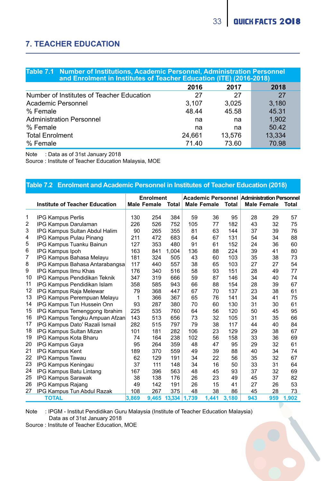D

### **7. TEACHER EDUCATION**

|                                           | Table 7.1 Number of Institutions, Academic Personnel, Administration Personnel<br>and Enrolment in Institutes of Teacher Education (ITE) (2016-2018) |        |        |  |  |  |  |  |  |  |
|-------------------------------------------|------------------------------------------------------------------------------------------------------------------------------------------------------|--------|--------|--|--|--|--|--|--|--|
|                                           | 2016                                                                                                                                                 | 2017   | 2018   |  |  |  |  |  |  |  |
| Number of Institutes of Teacher Education | 27                                                                                                                                                   | 27     | 27     |  |  |  |  |  |  |  |
| Academic Personnel                        | 3.107                                                                                                                                                | 3.025  | 3.180  |  |  |  |  |  |  |  |
| % Female                                  | 48.44                                                                                                                                                | 45.58  | 45.31  |  |  |  |  |  |  |  |
| <b>Administration Personnel</b>           | na                                                                                                                                                   | na     | 1.902  |  |  |  |  |  |  |  |
| % Female                                  | na                                                                                                                                                   | na     | 50.42  |  |  |  |  |  |  |  |
| <b>Total Enrolment</b>                    | 24.661                                                                                                                                               | 13.576 | 13.334 |  |  |  |  |  |  |  |
| % Female                                  | 71.40                                                                                                                                                | 73.60  | 70.98  |  |  |  |  |  |  |  |

Note : Data as of 31st January 2018

Source : Institute of Teacher Education Malaysia, MOE

#### **Table 7.2 Enrolment and Academic Personnel in Institutes of Teacher Education (2018)**

|                | <b>Institute of Teacher Education</b> |       | Enrolment<br><b>Male Female</b> | Total        |     | Male Female Total |       |     | <b>Academic Personnel Administration Personnel</b><br><b>Male Female</b> | Total |
|----------------|---------------------------------------|-------|---------------------------------|--------------|-----|-------------------|-------|-----|--------------------------------------------------------------------------|-------|
|                |                                       |       |                                 |              |     |                   |       |     |                                                                          |       |
| 1              | <b>IPG Kampus Perlis</b>              | 130   | 254                             | 384          | 59  | 36                | 95    | 28  | 29                                                                       | 57    |
| 2              | IPG Kampus Darulaman                  | 226   | 526                             | 752          | 105 | 77                | 182   | 43  | 32                                                                       | 75    |
| 3              | IPG Kampus Sultan Abdul Halim         | 90    | 265                             | 355          | 81  | 63                | 144   | 37  | 39                                                                       | 76    |
| 4              | IPG Kampus Pulau Pinang               | 211   | 472                             | 683          | 64  | 67                | 131   | 54  | 34                                                                       | 88    |
| 5              | IPG Kampus Tuanku Bainun              | 127   | 353                             | 480          | 91  | 61                | 152   | 24  | 36                                                                       | 60    |
| 6              | IPG Kampus Ipoh                       | 163   | 841                             | 1.004        | 136 | 88                | 224   | 39  | 41                                                                       | 80    |
| $\overline{7}$ | IPG Kampus Bahasa Melavu              | 181   | 324                             | 505          | 43  | 60                | 103   | 35  | 38                                                                       | 73    |
| 8              | IPG Kampus Bahasa Antarabangsa        | 117   | 440                             | 557          | 38  | 65                | 103   | 27  | 27                                                                       | 54    |
| 9              | IPG Kampus Ilmu Khas                  | 176   | 340                             | 516          | 58  | 93                | 151   | 28  | 49                                                                       | 77    |
| 10             | IPG Kampus Pendidikan Teknik          | 347   | 319                             | 666          | 59  | 87                | 146   | 34  | 40                                                                       | 74    |
| 11             | IPG Kampus Pendidikan Islam           | 358   | 585                             | 943          | 66  | 88                | 154   | 28  | 39                                                                       | 67    |
| 12             | IPG Kampus Raja Melewar               | 79    | 368                             | 447          | 67  | 70                | 137   | 23  | 38                                                                       | 61    |
| 13             | IPG Kampus Perempuan Melayu           | 1     | 366                             | 367          | 65  | 76                | 141   | 34  | 41                                                                       | 75    |
| 14             | IPG Kampus Tun Hussein Onn            | 93    | 287                             | 380          | 70  | 60                | 130   | 31  | 30                                                                       | 61    |
| 15             | IPG Kampus Temenggong Ibrahim         | 225   | 535                             | 760          | 64  | 56                | 120   | 50  | 45                                                                       | 95    |
| 16             | IPG Kampus Tengku Ampuan Afzan        | 143   | 513                             | 656          | 73  | 32                | 105   | 31  | 35                                                                       | 66    |
| 17             | IPG Kampus Dato' Razali Ismail        | 282   | 515                             | 797          | 79  | 38                | 117   | 44  | 40                                                                       | 84    |
| 18             | IPG Kampus Sultan Mizan               | 101   | 181                             | 282          | 106 | 23                | 129   | 29  | 38                                                                       | 67    |
| 19             | IPG Kampus Kota Bharu                 | 74    | 164                             | 238          | 102 | 56                | 158   | 33  | 36                                                                       | 69    |
| 20             | <b>IPG Kampus Gaya</b>                | 95    | 264                             | 359          | 48  | 47                | 95    | 29  | 32                                                                       | 61    |
| 21             | IPG Kampus Kent                       | 189   | 370                             | 559          | 49  | 39                | 88    | 40  | 34                                                                       | 74    |
| 22             | IPG Kampus Tawau                      | 62    | 129                             | 191          | 34  | 22                | 56    | 35  | 32                                                                       | 67    |
| 23             | IPG Kampus Keningau                   | 37    | 111                             | 148          | 34  | 16                | 50    | 33  | 31                                                                       | 64    |
| 24             | IPG Kampus Batu Lintang               | 167   | 396                             | 563          | 48  | 45                | 93    | 37  | 32                                                                       | 69    |
| 25             | <b>IPG Kampus Sarawak</b>             | 38    | 138                             | 176          | 26  | 23                | 49    | 45  | 37                                                                       | 82    |
| 26             | IPG Kampus Rajang                     | 49    | 142                             | 191          | 26  | 15                | 41    | 27  | 26                                                                       | 53    |
| 27             | IPG Kampus Tun Abdul Razak            | 108   | 267                             | 375          | 48  | 38                | 86    | 45  | 28                                                                       | 73    |
|                | <b>TOTAL</b>                          | 3.869 | 9.465                           | 13.334 1.739 |     | 1.441             | 3,180 | 943 | 959                                                                      | 1,902 |

Note : IPGM - Institut Pendidikan Guru Malaysia (Institute of Teacher Education Malaysia) Data as of 31st January 2018

Source : Institute of Teacher Education, MOE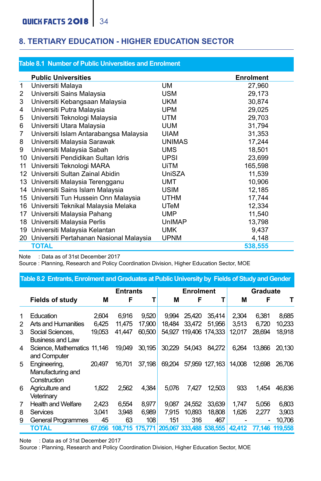#### **8. TERTIARY EDUCATION - HIGHER EDUCATION SECTOR**

|                | Table 8.1 Number of Public Universities and Enrolment |               |                  |
|----------------|-------------------------------------------------------|---------------|------------------|
|                | <b>Public Universities</b>                            |               | <b>Enrolment</b> |
| $\mathbf{1}$   | Universiti Malaya                                     | <b>UM</b>     | 27,960           |
| 2              | Universiti Sains Malaysia                             | <b>USM</b>    | 29.173           |
| 3              | Universiti Kebangsaan Malaysia                        | <b>UKM</b>    | 30.874           |
| 4              | Universiti Putra Malaysia                             | <b>UPM</b>    | 29,025           |
| 5              | Universiti Teknologi Malaysia                         | <b>UTM</b>    | 29.703           |
| 6              | Universiti Utara Malaysia                             | <b>UUM</b>    | 31.794           |
| $\overline{7}$ | Universiti Islam Antarabangsa Malaysia                | <b>UIAM</b>   | 31.353           |
| 8              | Universiti Malaysia Sarawak                           | <b>UNIMAS</b> | 17.244           |
| 9              | Universiti Malaysia Sabah                             | <b>UMS</b>    | 18.501           |
| 10             | Universiti Pendidikan Sultan Idris                    | UPSI          | 23.699           |
| 11             | Universiti Teknologi MARA                             | UiTM          | 165.598          |
| 12             | Universiti Sultan Zainal Abidin                       | UniSZA        | 11.539           |
|                | 13 Universiti Malaysia Terengganu                     | <b>UMT</b>    | 10,906           |
|                | 14 Universiti Sains Islam Malaysia                    | <b>USIM</b>   | 12.185           |
|                | 15 Universiti Tun Hussein Onn Malaysia                | <b>UTHM</b>   | 17.744           |
|                | 16 Universiti Teknikal Malaysia Melaka                | UTeM          | 12,334           |
| 17             | Universiti Malaysia Pahang                            | <b>UMP</b>    | 11,540           |
|                | 18 Universiti Malaysia Perlis                         | UnIMAP        | 13.798           |
|                | 19 Universiti Malaysia Kelantan                       | <b>UMK</b>    | 9,437            |
|                | 20 Universiti Pertahanan Nasional Malaysia            | <b>UPNM</b>   | 4,148            |
|                | <b>TOTAL</b>                                          |               | 538,555          |

Note : Data as of 31st December 2017

L

Source : Planning, Research and Policy Coordination Division, Higher Education Sector, MOE

|   | Table 8.2 Entrants, Enrolment and Graduates at Public University by Fields of Study and Gender |        |                 |        |        |                        |                                         |        |          |                |
|---|------------------------------------------------------------------------------------------------|--------|-----------------|--------|--------|------------------------|-----------------------------------------|--------|----------|----------------|
|   |                                                                                                |        | <b>Entrants</b> |        |        | <b>Enrolment</b>       |                                         |        | Graduate |                |
|   | <b>Fields of study</b>                                                                         | М      | F               | т      | М      | F                      | т                                       | М      | F        | т              |
| 1 | Education                                                                                      | 2.604  | 6.916           | 9,520  | 9.994  | 25.420                 | 35.414                                  | 2.304  | 6.381    | 8.685          |
| 2 | Arts and Humanities                                                                            | 6.425  | 11.475          | 17,900 | 18.484 | 33,472                 | 51,956                                  | 3.513  | 6.720    | 10.233         |
| 3 | Social Sciences.<br><b>Business and Law</b>                                                    | 19.053 | 41.447          | 60,500 |        | 54.927 119.406 174.333 |                                         | 12.017 | 28.694   | 18.918         |
| 4 | Science. Mathematics 11.146<br>and Computer                                                    |        | 19,049          | 30.195 |        | 30.229 54.043          | 84.272                                  | 6.264  | 13,866   | 20.130         |
| 5 | Engineering,<br>Manufacturing and<br>Construction                                              | 20.497 | 16.701          | 37.198 | 69.204 |                        | 57,959 127,163                          | 14,008 | 12.698   | 26.706         |
| 6 | Agriculture and<br>Veterinary                                                                  | 1.822  | 2.562           | 4.384  | 5.076  | 7.427                  | 12.503                                  | 933    | 1.454    | 46.836         |
| 7 | <b>Health and Welfare</b>                                                                      | 2.423  | 6.554           | 8.977  | 9.087  | 24.552                 | 33.639                                  | 1.747  | 5.056    | 6.803          |
| 8 | Services                                                                                       | 3.041  | 3.948           | 6.989  | 7.915  | 10.893                 | 18,808                                  | 1.626  | 2.277    | 3.903          |
| 9 | <b>General Programmes</b>                                                                      | 45     | 63              | 108    | 151    | 316                    | 467                                     |        |          | 10.706         |
|   | TOTAL                                                                                          | 67.056 |                 |        |        |                        | 108.715 175.771 205.067 333.488 538.555 | 42.412 |          | 77.146 119.558 |

Note : Data as of 31st December 2017

Source : Planning, Research and Policy Coordination Division, Higher Education Sector, MOE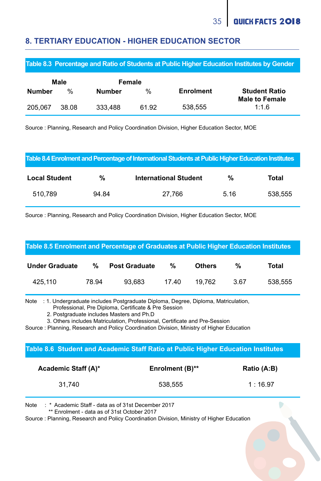D

#### **8. TERTIARY EDUCATION - HIGHER EDUCATION SECTOR**

**Table 8.3 Percentage and Ratio of Students at Public Higher Education Institutes by Gender** 

|               | Male          | Female  |               |                  |                                               |
|---------------|---------------|---------|---------------|------------------|-----------------------------------------------|
| <b>Number</b> | $\frac{0}{n}$ | Number  | $\frac{1}{2}$ | <b>Enrolment</b> | <b>Student Ratio</b><br><b>Male to Female</b> |
| 205.067       | 38.08         | 333.488 | 61.92         | 538.555          | 1:1.6                                         |

Source : Planning, Research and Policy Coordination Division, Higher Education Sector, MOE

#### **Table 8.4 Enrolment and Percentage of International Students at Public Higher Education Institutes**

| <b>Local Student</b> | %     | <b>International Student</b> | %    | Total   |
|----------------------|-------|------------------------------|------|---------|
| 510.789              | 94.84 | 27.766                       | 5.16 | 538.555 |

Source : Planning, Research and Policy Coordination Division, Higher Education Sector, MOE

#### **Table 8.5 Enrolment and Percentage of Graduates at Public Higher Education Institutes**

| <b>Under Graduate</b> | %     | <b>Post Graduate</b> | %     | <b>Others</b> | %    | Total   |
|-----------------------|-------|----------------------|-------|---------------|------|---------|
| 425.110               | 78.94 | 93.683               | 17.40 | 19.762        | 3.67 | 538.555 |

Note : 1. Undergraduate includes Postgraduate Diploma, Degree, Diploma, Matriculation, Professional, Pre Diploma, Certificate & Pre Session

2. Postgraduate includes Masters and Ph.D

3. Others includes Matriculation, Professional, Certificate and Pre-Session

Source : Planning, Research and Policy Coordination Division, Ministry of Higher Education

#### **Table 8.6 Student and Academic Staff Ratio at Public Higher Education Institutes**

| Academic Staff (A)* | Enrolment (B)** | Ratio (A:B) |
|---------------------|-----------------|-------------|
| 31.740              | 538.555         | 1:16.97     |

Note : \* Academic Staff - data as of 31st December 2017

\*\* Enrolment - data as of 31st October 2017

Source : Planning, Research and Policy Coordination Division, Ministry of Higher Education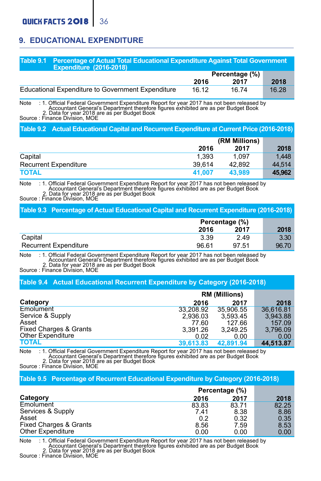### **9. EDUCATIONAL EXPENDITURE**

#### **Table 9.1 Percentage of Actual Total Educational Expenditure Against Total Government Expenditure (2016-2018)**

| $\sim$                                            | Percentage (%) |       |       |
|---------------------------------------------------|----------------|-------|-------|
|                                                   | 2016           | 2017  | 2018  |
| Educational Expenditure to Government Expenditure | 16.12          | 16.74 | 16.28 |

Note : 1. Official Federal Government Expenditure Report for year 2017 has not been released by<br>- Accountant General's Department therefore figures exhibited are as per Budget Book<br>Source : Finance Division, MOE<br>Source : F

#### **Table 9.2 Actual Educational Capital and Recurrent Expenditure at Current Price (2016-2018)**

|                              |        | (RM Millions) |        |  |
|------------------------------|--------|---------------|--------|--|
|                              | 2016   | 2017          | 2018   |  |
| Capital                      | 1.393  | 1.097         | 1.448  |  |
| <b>Recurrent Expenditure</b> | 39.614 | 42.892        | 44.514 |  |
| <b>TOTAL</b>                 | 41.007 | 43.989        | 45.962 |  |

### Note : 1. Official Federal Government Expenditure Report for year 2017 has not been released by Accountant General's Department therefore figures exhibited are as per Budget Book Source : Finance Division, MOE<br>Source : Finance Division, MOF

#### **Table 9.3 Percentage of Actual Educational Capital and Recurrent Expenditure (2016-2018)**

|                              | Percentage (%) |       |       |
|------------------------------|----------------|-------|-------|
|                              | 2016           | 2017  | 2018  |
| Capital                      | 3.39           | 2.49  | 3.30  |
| <b>Recurrent Expenditure</b> | 96.61          | 97.51 | 96.70 |

Note : 1. Official Federal Government Expenditure Report for year <sup>2017</sup> has not been released by Accountant General's Department therefore figures exhibited are as per Budget Book 2. Data for year 2018 are as per Budget Book Source : Finance Division, MOE<br>Source : Finance Division, MOE

#### **Table 9.4 Actual Educational Recurrent Expenditure by Category (2016-2018)**

|                                   | <b>RM (Millions)</b> |           |           |
|-----------------------------------|----------------------|-----------|-----------|
| Category                          | 2016                 | 2017      | 2018      |
| Emolument                         | 33.208.92            | 35.906.55 | 36.616.81 |
| Service & Supply                  | 2.936.03             | 3.593.45  | 3.943.88  |
| Asset                             | 77.60                | 127.66    | 157.09    |
| <b>Fixed Charges &amp; Grants</b> | 3.391.26             | 3.249.25  | 3.796.09  |
| Other Expenditure                 | 0.02                 | 0.00      | 0.00      |
| <b>TOTAL</b>                      | 39.613.83            | 42.891.94 | 44.513.87 |

Note : 1. Official Federal Government Expenditure Report for year <sup>2017</sup> has not been released by Accountant General's Department therefore figures exhibited are as per Budget Book 2. Data for year 2018 are as per Budget Book 2. Data for year 2018 are as per Budget Book<br>Source : Finance Division, MOE

#### **Table 9.5 Percentage of Recurrent Educational Expenditure by Category (2016-2018)**

|                        | Percentage (%) |       |       |
|------------------------|----------------|-------|-------|
| Category               | 2016           | 2017  | 2018  |
| Emolument              | 83.83          | 83.71 | 82.25 |
| Services & Supply      | 7.41           | 8.38  | 8.86  |
| Asset                  | 0.2            | 0.32  | 0.35  |
| Fixed Charges & Grants | 8.56           | 7.59  | 8.53  |
| Other Expenditure      | 0.00           | 0.00  | 0.00  |

Note : 1. Official Federal Government Expenditure Report for year 2017 has not been released by Accountant General's Department therefore figures exhibited are as per Budget Book 2. Data for year 2018 are as per Budget Book<br>Source : Finance Division, MOE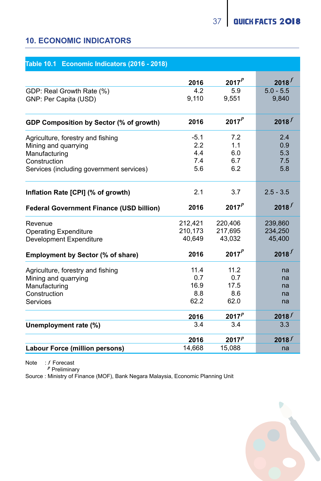### **10. ECONOMIC INDICATORS**

#### **Table 10.1 Economic Indicators (2016 - 2018)**

|                                          | 2016    | $2017^{p}$ | $2018^{f}$  |
|------------------------------------------|---------|------------|-------------|
| GDP: Real Growth Rate (%)                | 4.2     | 5.9        | $5.0 - 5.5$ |
| GNP: Per Capita (USD)                    | 9.110   | 9.551      | 9.840       |
|                                          |         |            |             |
| GDP Composition by Sector (% of growth)  | 2016    | $2017^{p}$ | $2018^{f}$  |
| Agriculture, forestry and fishing        | $-5.1$  | 7.2        | 2.4         |
| Mining and quarrying                     | 22      | 11         | 0.9         |
| Manufacturing                            | 4.4     | 6.0        | 5.3         |
| Construction                             | 7.4     | 6.7        | 7.5         |
| Services (including government services) | 5.6     | 6.2        | 5.8         |
| Inflation Rate [CPI] (% of growth)       | 2.1     | 3.7        | $2.5 - 3.5$ |
| Federal Government Finance (USD billion) | 2016    | $2017^{p}$ | $2018^{f}$  |
| Revenue                                  | 212,421 | 220.406    | 239,860     |
| <b>Operating Expenditure</b>             | 210.173 | 217.695    | 234.250     |
| Development Expenditure                  | 40.649  | 43.032     | 45,400      |
| Employment by Sector (% of share)        | 2016    | $2017^p$   | $2018^{f}$  |
| Agriculture, forestry and fishing        | 114     | 11.2       | na          |
| Mining and quarrying                     | 0.7     | 0.7        | na          |
| Manufacturing                            | 16.9    | 17.5       | na          |
| Construction                             | 8.8     | 8.6        | na          |
| Services                                 | 62.2    | 62.0       | na          |
|                                          | 2016    | $2017^{p}$ | $2018^{f}$  |
| Unemployment rate (%)                    | 3.4     | 3.4        | 3.3         |
|                                          | 2016    | $2017^p$   | $2018^{f}$  |
| Labour Force (million persons)           | 14,668  | 15,088     | na          |

Note : f Forecast

Preliminary *p*

Source : Ministry of Finance (MOF), Bank Negara Malaysia, Economic Planning Unit

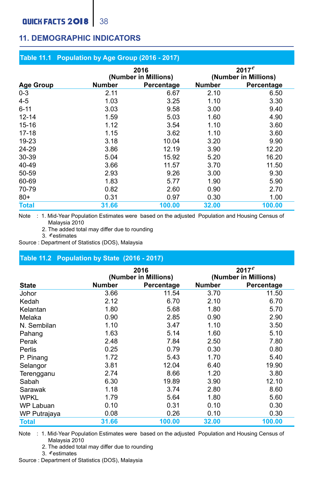### **QUICK FACTS 2018** 38

### **11. DEMOGRAPHIC INDICATORS**

#### **Table 11.1 Population by Age Group (2016 - 2017)**

|                  |        | 2016<br>(Number in Millions) |        | $2017^e$<br>(Number in Millions) |
|------------------|--------|------------------------------|--------|----------------------------------|
| <b>Age Group</b> | Number | Percentage                   | Number | Percentage                       |
| $0 - 3$          | 2.11   | 6.67                         | 2.10   | 6.50                             |
| $4 - 5$          | 1.03   | 3.25                         | 1.10   | 3.30                             |
| $6 - 11$         | 3.03   | 9.58                         | 3.00   | 9.40                             |
| $12 - 14$        | 1.59   | 5.03                         | 1.60   | 4.90                             |
| $15 - 16$        | 1.12   | 3.54                         | 1.10   | 3.60                             |
| $17 - 18$        | 1.15   | 3.62                         | 1.10   | 3.60                             |
| 19-23            | 3.18   | 10.04                        | 3.20   | 9.90                             |
| 24-29            | 3.86   | 12.19                        | 3.90   | 12.20                            |
| 30-39            | 5.04   | 15.92                        | 5.20   | 16.20                            |
| 40-49            | 3.66   | 11.57                        | 3.70   | 11.50                            |
| 50-59            | 2.93   | 9.26                         | 3.00   | 9.30                             |
| 60-69            | 1.83   | 5.77                         | 1.90   | 5.90                             |
| 70-79            | 0.82   | 2.60                         | 0.90   | 2.70                             |
| $80+$            | 0.31   | 0.97                         | 0.30   | 1.00                             |
| <b>Total</b>     | 31.66  | 100.00                       | 32.00  | 100.00                           |

Note : 1. Mid-Year Population Estimates were based on the adjusted Population and Housing Census of Malaysia 2010

2. The added total may differ due to rounding

3. estimates *e*

Source : Department of Statistics (DOS), Malaysia

#### **Table 11.2 Population by State (2016 - 2017)**

|              |               | 2016<br>(Number in Millions) |        | $2017^e$<br>(Number in Millions) |
|--------------|---------------|------------------------------|--------|----------------------------------|
| <b>State</b> | <b>Number</b> | Percentage                   | Number | Percentage                       |
| Johor        | 3.66          | 11.54                        | 3.70   | 11.50                            |
| Kedah        | 2.12          | 6.70                         | 2.10   | 6.70                             |
| Kelantan     | 1.80          | 5.68                         | 1.80   | 5.70                             |
| Melaka       | 0.90          | 2.85                         | 0.90   | 2.90                             |
| N. Sembilan  | 1.10          | 3.47                         | 1.10   | 3.50                             |
| Pahang       | 1.63          | 5.14                         | 1.60   | 5.10                             |
| Perak        | 2.48          | 7.84                         | 2.50   | 7.80                             |
| Perlis       | 0.25          | 0.79                         | 0.30   | 0.80                             |
| P. Pinang    | 1.72          | 5.43                         | 1.70   | 5.40                             |
| Selangor     | 3.81          | 12.04                        | 6.40   | 19.90                            |
| Terengganu   | 2.74          | 8.66                         | 1.20   | 3.80                             |
| Sabah        | 6.30          | 19.89                        | 3.90   | 12.10                            |
| Sarawak      | 1.18          | 3.74                         | 2.80   | 8.60                             |
| WPKL         | 1.79          | 5.64                         | 1.80   | 5.60                             |
| WP Labuan    | 0.10          | 0.31                         | 0.10   | 0.30                             |
| WP Putrajaya | 0.08          | 0.26                         | 0.10   | 0.30                             |
| <b>Total</b> | 31.66         | 100.00                       | 32.00  | 100.00                           |

Note : 1. Mid-Year Population Estimates were based on the adjusted Population and Housing Census of Malaysia 2010

2. The added total may differ due to rounding

3. estimates *e*

Source : Department of Statistics (DOS), Malaysia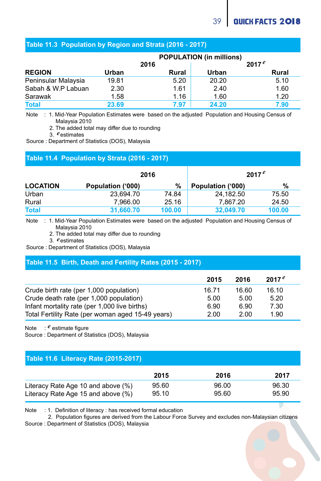#### **Table 11.3 Population by Region and Strata (2016 - 2017)**

|                     | <b>POPULATION (in millions)</b> |       |          |       |
|---------------------|---------------------------------|-------|----------|-------|
|                     | 2016                            |       | $2017^e$ |       |
| <b>REGION</b>       | Urban                           | Rural | Urban    | Rural |
| Peninsular Malaysia | 19.81                           | 5.20  | 20.20    | 5.10  |
| Sabah & W.P Labuan  | 2.30                            | 1.61  | 2.40     | 1.60  |
| Sarawak             | 1.58                            | 1.16  | 1.60     | 1.20  |
| <b>Total</b>        | 23.69                           | 7.97  | 24.20    | 7.90  |

Note : 1. Mid-Year Population Estimates were based on the adjusted Population and Housing Census of Malaysia 2010

2. The added total may differ due to rounding

3. estimates *e*

Source : Department of Statistics (DOS), Malaysia

#### **Table 11.4 Population by Strata (2016 - 2017)**

|                 | 2016              |        |                   | $2017^e$ |
|-----------------|-------------------|--------|-------------------|----------|
| <b>LOCATION</b> | Population ('000) | %      | Population ('000) | %        |
| Urban           | 23.694.70         | 74.84  | 24.182.50         | 75.50    |
| Rural           | 7.966.00          | 25.16  | 7.867.20          | 24.50    |
| <b>Total</b>    | 31.660.70         | 100.00 | 32.049.70         | 100.00   |

Note : 1. Mid-Year Population Estimates were based on the adjusted Population and Housing Census of Malaysia 2010

2. The added total may differ due to rounding

3. estimates *e*

Source : Department of Statistics (DOS), Malaysia

#### **Table 11.5 Birth, Death and Fertility Rates (2015 - 2017)**

|                                                   | 2015  | 2016  | $2017^e$ |  |
|---------------------------------------------------|-------|-------|----------|--|
| Crude birth rate (per 1,000 population)           | 16.71 | 16.60 | 16.10    |  |
| Crude death rate (per 1,000 population)           | 5.00  | 5.00  | 5.20     |  |
| Infant mortality rate (per 1,000 live births)     | 6.90  | 6.90  | 7.30     |  |
| Total Fertility Rate (per woman aged 15-49 years) | 2.00  | 2.00  | 1.90     |  |

Note : <sup>*e*</sup> estimate figure

Source : Department of Statistics (DOS), Malaysia

#### **Table 11.6 Literacy Rate (2015-2017)**

|                                    | 2015  | 2016  | 2017  |
|------------------------------------|-------|-------|-------|
| Literacy Rate Age 10 and above (%) | 95.60 | 96.00 | 96.30 |
| Literacy Rate Age 15 and above (%) | 95.10 | 95.60 | 95.90 |

Note : 1. Definition of literacy : has received formal education

 2. Population figures are derived from the Labour Force Survey and excludes non-Malaysian citizens Source : Department of Statistics (DOS), Malaysia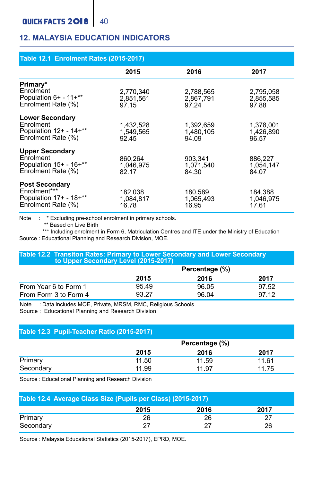### **12. MALAYSIA EDUCATION INDICATORS**

| <b>Table 12.1 Enrolment Rates (2015-2017)</b>                                          |                                 |                                 |                                 |  |  |  |  |
|----------------------------------------------------------------------------------------|---------------------------------|---------------------------------|---------------------------------|--|--|--|--|
|                                                                                        | 2015                            | 2016                            | 2017                            |  |  |  |  |
| Primary*<br>Enrolment<br>Population 6+ - 11+**<br>Enrolment Rate (%)                   | 2.770.340<br>2,851,561<br>97.15 | 2.788.565<br>2.867.791<br>97.24 | 2.795.058<br>2,855,585<br>97.88 |  |  |  |  |
| <b>Lower Secondary</b><br>Enrolment<br>Population $12+ - 14+**$<br>Enrolment Rate (%)  | 1,432,528<br>1,549,565<br>92.45 | 1,392,659<br>1.480.105<br>94.09 | 1.378.001<br>1,426,890<br>96.57 |  |  |  |  |
| <b>Upper Secondary</b><br>Enrolment<br>Population $15+ - 16+***$<br>Enrolment Rate (%) | 860.264<br>1.046.975<br>82.17   | 903.341<br>1.071.540<br>84.30   | 886.227<br>1.054.147<br>84.07   |  |  |  |  |
| <b>Post Secondary</b><br>Enrolment***<br>Population 17+ - 18+**<br>Enrolment Rate (%)  | 182.038<br>1.084.817<br>16.78   | 180.589<br>1.065.493<br>16.95   | 184.388<br>1.046.975<br>17.61   |  |  |  |  |

Note : \* Excluding pre-school enrolment in primary schools.

\*\* Based on Live Birth

\*\*\* Including enrolment in Form 6, Matriculation Centres and ITE under the Ministry of Education Source : Educational Planning and Research Division, MOE.

#### **Table 12.2 Transiton Rates: Primary to Lower Secondary and Lower Secondary to Upper Secondary Level (2015-2017)**

|                       | Percentage (%) |       |       |  |
|-----------------------|----------------|-------|-------|--|
|                       | 2015           | 2016  | 2017  |  |
| From Year 6 to Form 1 | 95.49          | 96.05 | 97.52 |  |
| From Form 3 to Form 4 | 93.27          | 96.04 | 97 12 |  |

Note : Data includes MOE, Private, MRSM, RMC, Religious Schools

Source : Educational Planning and Research Division

#### **Table 12.3 Pupil-Teacher Ratio (2015-2017)**

|           | Percentage (%) |       |       |  |
|-----------|----------------|-------|-------|--|
|           | 2015           | 2016  | 2017  |  |
| Primary   | 11.50          | 11.59 | 11.61 |  |
| Secondary | 11.99          | 11.97 | 11.75 |  |

Source : Educational Planning and Research Division

| Table 12.4 Average Class Size (Pupils per Class) (2015-2017) |      |      |      |  |  |  |
|--------------------------------------------------------------|------|------|------|--|--|--|
|                                                              | 2015 | 2016 | 2017 |  |  |  |
| Primary                                                      | 26   | 26   | 27   |  |  |  |
| Secondary                                                    | 27   |      | 26   |  |  |  |

Source : Malaysia Educational Statistics (2015-2017), EPRD, MOE.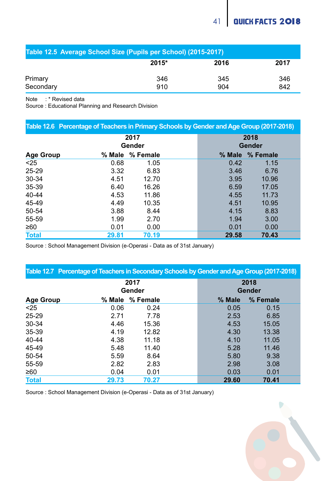| Table 12.5 Average School Size (Pupils per School) (2015-2017) |            |            |            |  |  |  |
|----------------------------------------------------------------|------------|------------|------------|--|--|--|
|                                                                | 2015*      | 2016       | 2017       |  |  |  |
| Primary<br>Secondary                                           | 346<br>910 | 345<br>904 | 346<br>842 |  |  |  |
|                                                                |            |            |            |  |  |  |

Note: \* Revised data

Source : Educational Planning and Research Division

| Table 12.6 Percentage of Teachers in Primary Schools by Gender and Age Group (2017-2018) |                |          |  |                |          |  |
|------------------------------------------------------------------------------------------|----------------|----------|--|----------------|----------|--|
|                                                                                          | 2017<br>Gender |          |  | 2018<br>Gender |          |  |
| Age Group                                                                                | % Male         | % Female |  | % Male         | % Female |  |
| < 25                                                                                     | 0.68           | 1.05     |  | 0.42           | 1.15     |  |
| 25-29                                                                                    | 3.32           | 6.83     |  | 3.46           | 6.76     |  |
| 30-34                                                                                    | 4.51           | 12.70    |  | 3.95           | 10.96    |  |
| 35-39                                                                                    | 6.40           | 16.26    |  | 6.59           | 17.05    |  |
| 40-44                                                                                    | 4.53           | 11.86    |  | 4.55           | 11.73    |  |
| 45-49                                                                                    | 4.49           | 10.35    |  | 4.51           | 10.95    |  |
| 50-54                                                                                    | 3.88           | 8.44     |  | 4.15           | 8.83     |  |
| 55-59                                                                                    | 1.99           | 2.70     |  | 1.94           | 3.00     |  |
| ≥60                                                                                      | 0.01           | 0.00     |  | 0.01           | 0.00     |  |
| <b>Total</b>                                                                             | 29.81          | 70.19    |  | 29.58          | 70.43    |  |

Source : School Management Division (e-Operasi - Data as of 31st January)

| Table 12.7 Percentage of Teachers in Secondary Schools by Gender and Age Group (2017-2018) |                |          |  |                |          |  |  |
|--------------------------------------------------------------------------------------------|----------------|----------|--|----------------|----------|--|--|
|                                                                                            | 2017<br>Gender |          |  | 2018<br>Gender |          |  |  |
| Age Group                                                                                  | % Male         | % Female |  | % Male         | % Female |  |  |
| < 25                                                                                       | 0.06           | 0.24     |  | 0.05           | 0.15     |  |  |
| 25-29                                                                                      | 2.71           | 7.78     |  | 2.53           | 6.85     |  |  |
| $30 - 34$                                                                                  | 4.46           | 15.36    |  | 4.53           | 15.05    |  |  |
| 35-39                                                                                      | 4.19           | 12.82    |  | 4.30           | 13.38    |  |  |
| 40-44                                                                                      | 4.38           | 11.18    |  | 4.10           | 11.05    |  |  |
| 45-49                                                                                      | 5.48           | 11.40    |  | 5.28           | 11.46    |  |  |
| 50-54                                                                                      | 5.59           | 8.64     |  | 5.80           | 9.38     |  |  |
| 55-59                                                                                      | 2.82           | 2.83     |  | 2.98           | 3.08     |  |  |
| ≥60                                                                                        | 0.04           | 0.01     |  | 0.03           | 0.01     |  |  |
| <b>Total</b>                                                                               | 29.73          | 70.27    |  | 29.60          | 70.41    |  |  |

Source : School Management Division (e-Operasi - Data as of 31st January)

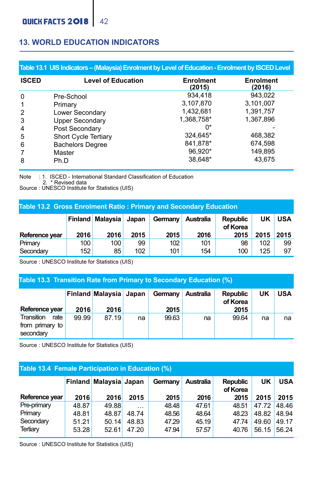#### **13. WORLD EDUCATION INDICATORS**

|                | Table 13.1 UIS Indicators - (Malaysia) Enrolment by Level of Education - Enrolment by ISCED Level |                            |                     |  |  |  |  |
|----------------|---------------------------------------------------------------------------------------------------|----------------------------|---------------------|--|--|--|--|
| <b>ISCED</b>   | <b>Level of Education</b>                                                                         | <b>Enrolment</b><br>(2015) | Enrolment<br>(2016) |  |  |  |  |
| $\Omega$       | Pre-School                                                                                        | 934.418                    | 943.022             |  |  |  |  |
| $\mathbf{1}$   | Primary                                                                                           | 3.107.870                  | 3,101,007           |  |  |  |  |
| $\overline{2}$ | Lower Secondary                                                                                   | 1.432.681                  | 1.391.757           |  |  |  |  |
| 3              | <b>Upper Secondary</b>                                                                            | 1.368.758*                 | 1.367.896           |  |  |  |  |
| $\overline{4}$ | Post Secondary                                                                                    | n*                         |                     |  |  |  |  |
| 5              | Short Cycle Tertiary                                                                              | 324.645*                   | 468,382             |  |  |  |  |
| 6              | <b>Bachelors Degree</b>                                                                           | 841.878*                   | 674.598             |  |  |  |  |
| $\overline{7}$ | Master                                                                                            | 96.920*                    | 149,895             |  |  |  |  |
| 8              | Ph.D                                                                                              | 38.648*                    | 43.675              |  |  |  |  |

Note : 1. ISCED - International Standard Classification of Education<br>2. \* Revised data<br>Source : UNESCO Institute for Statistics (UIS)

#### **Table 13.2 Gross Enrolment Ratio : Primary and Secondary Education**

|                |      | <b>Finland Malaysia</b> | Japan | Germany | Australia | <b>Republic</b><br>of Korea | UK   | <b>USA</b> |
|----------------|------|-------------------------|-------|---------|-----------|-----------------------------|------|------------|
| Reference vear | 2016 | 2016                    | 2015  | 2015    | 2016      | 2015                        | 2015 | 2015       |
| Primary        | 100  | 100                     | 99    | 102     | 101       | 98                          | 102  | 99         |
| Secondary      | 152  | 85                      | 102   | 101     | 154       | 100                         | 125  | 97         |

Source : UNESCO Institute for Statistics (UIS)

#### **Table 13.3 Transition Rate from Primary to Secondary Education (%)**

| Reference year                                     | 2016  | Finland Malaysia Japan<br>2016 |    | Germany Australia<br>2015 |    | <b>Republic</b><br>of Korea<br>2015 | UK | <b>USA</b> |
|----------------------------------------------------|-------|--------------------------------|----|---------------------------|----|-------------------------------------|----|------------|
| Transition<br>rate<br>from primary to<br>secondary | 99.99 | 87.19                          | na | 99.63                     | na | 99.64                               | na | na         |

Source : UNESCO Institute for Statistics (UIS)

#### **Table 13.4 Female Participation in Education (%)**

|                |       | Finland Malaysia Japan |          | Germany | Australia | <b>Republic</b><br>of Korea | UK    | <b>USA</b> |
|----------------|-------|------------------------|----------|---------|-----------|-----------------------------|-------|------------|
| Reference year | 2016  | 2016                   | 2015     | 2015    | 2016      | 2015                        | 2015  | 2015       |
| Pre-primary    | 48.87 | 49.88                  | $\cdots$ | 48.48   | 47.61     | 48.51                       | 47.72 | 48.46      |
| Primary        | 48.81 | 48.87                  | 48.74    | 48.56   | 48.64     | 48.23                       | 48.82 | 48.94      |
| Secondary      | 51.21 | 50.14                  | 48.83    | 47.29   | 45.19     | 47.74                       | 49.60 | 49.17      |
| Tertiary       | 53.28 | 52.61                  | 47.20    | 47.94   | 57.57     | 40.76                       | 56.15 | 56.24      |

Source : UNESCO Institute for Statistics (UIS)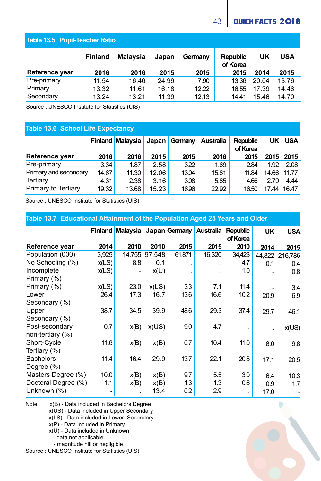### 43 QUICK FACTS 2018

### **Table 13.5 Pupil-Teacher Ratio**

|                | <b>Finland</b> | <b>Malavsia</b> | Japan | Germany | <b>Republic</b><br>of Korea | UK    | USA   |
|----------------|----------------|-----------------|-------|---------|-----------------------------|-------|-------|
| Reference year | 2016           | 2016            | 2015  | 2015    | 2015                        | 2014  | 2015  |
| Pre-primary    | 11.54          | 16.46           | 24.99 | 7.90    | 13.36                       | 20.04 | 13.76 |
| Primary        | 13.32          | 11.61           | 16.18 | 12.22   | 16.55                       | 17.39 | 14.46 |
| Secondary      | 13.24          | 13.21           | 11.39 | 12.13   | 14.41                       | 15.46 | 14.70 |

Source : UNESCO Institute for Statistics (UIS)

### **Table 13.6 School Life Expectancy**

|                       |       | <b>Finland Malaysia</b> |       | Japan Germany | Australia | <b>Republic</b><br>of Korea | UKI         | <b>USA</b> |
|-----------------------|-------|-------------------------|-------|---------------|-----------|-----------------------------|-------------|------------|
| Reference year        | 2016  | 2016                    | 2015  | 2015          | 2016      | 2015                        |             | 2015 2015  |
| Pre-primary           | 3.34  | 1.87                    | 2.58  | 322           | 1.69      | 2.84                        | 1.92        | 2.08       |
| Primary and secondary | 14.67 | 11.30                   | 12.06 | 13.04         | 15.81     | 11.84                       | 14.66 11.77 |            |
| Tertiary              | 4.31  | 2.38                    | 3.16  | 3.08          | 5.85      | 4.66                        | 2.79        | 4.44       |
| Primary to Tertiary   | 19.32 | 13.68                   | 15.23 | 16.96         | 22.92     | 16.50                       | 17.44 16.47 |            |

Source : UNESCO Institute for Statistics (UIS)

| Table 13.7 Educational Attainment of the Population Aged 25 Years and Older |                |                 |        |               |                  |                             |        |            |  |
|-----------------------------------------------------------------------------|----------------|-----------------|--------|---------------|------------------|-----------------------------|--------|------------|--|
|                                                                             | <b>Finland</b> | <b>Malaysia</b> |        | Japan Germany | <b>Australia</b> | <b>Republic</b><br>of Korea | UK     | <b>USA</b> |  |
| Reference year                                                              | 2014           | 2010            | 2010   | 2015          | 2015             | 2010                        | 2014   | 2015       |  |
| Population (000)                                                            | 3,925          | 14,755          | 97,548 | 61,871        | 16,320           | 34,423                      | 44,822 | 216,786    |  |
| No Schooling (%)                                                            | x(LS)          | 8.8             | 0.1    |               |                  | 4.7                         | 0.1    | 0.4        |  |
| Incomplete                                                                  | x(LS)          |                 | x(U)   |               |                  | 1.0                         |        | 0.8        |  |
| Primary (%)                                                                 |                |                 |        |               |                  |                             |        |            |  |
| Primary (%)                                                                 | x(LS)          | 23.0            | x(LS)  | 3.3           | 7.1              | 11.4                        |        | 3.4        |  |
| Lower                                                                       | 26.4           | 17.3            | 16.7   | 13.6          | 16.6             | 10.2                        | 20.9   | 6.9        |  |
| Secondary (%)                                                               |                |                 |        |               |                  |                             |        |            |  |
| Upper                                                                       | 38.7           | 34.5            | 39.9   | 48.6          | 29.3             | 37.4                        | 29.7   | 46.1       |  |
| Secondary (%)                                                               |                |                 |        |               |                  |                             |        |            |  |
| Post-secondary                                                              | 0.7            | x(B)            | x(US)  | 9.0           | 4.7              |                             |        | x(US)      |  |
| non-tertiary (%)                                                            |                |                 |        |               |                  |                             |        |            |  |
| Short-Cycle                                                                 | 11.6           | x(B)            | x(B)   | 0.7           | 10.4             | 11.0                        | 8.0    | 9.8        |  |
| Tertiary (%)                                                                |                |                 |        |               |                  |                             |        |            |  |
| <b>Bachelors</b>                                                            | 11.4           | 16.4            | 29.9   | 13.7          | 22.1             | 20.8                        | 17.1   | 20.5       |  |
| Degree (%)                                                                  |                |                 |        |               |                  |                             |        |            |  |
| Masters Degree (%)                                                          | 10.0           | x(B)            | x(B)   | 9.7           | 5.5              | 3.0                         | 6.4    | 10.3       |  |
| Doctoral Degree (%)                                                         | 1.1            | x(B)            | x(B)   | 1.3           | 1.3              | 0.6                         | 0.9    | 1.7        |  |
| Unknown (%)                                                                 |                |                 | 13.4   | 0.2           | 2.9              | $\cdot$                     | 17.0   |            |  |

Note : x(B) - Data included in Bachelors Degree

x(US) - Data included in Upper Secondary

x(LS) - Data included in Lower Secondary

x(P) - Data included in Primary

x(U) - Data included in Unknown

. data not applicable

- magnitude nill or negligible

Source : UNESCO Institute for Statistics (UIS)



D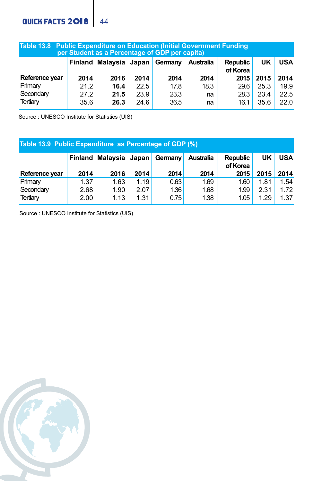### QUICK FACTS 2018 44

| Table 13.8 Public Expenditure on Education (Initial Government Funding<br>per Student as a Percentage of GDP per capita) |      |                                |      |      |           |                             |      |            |
|--------------------------------------------------------------------------------------------------------------------------|------|--------------------------------|------|------|-----------|-----------------------------|------|------------|
|                                                                                                                          |      | Finland Malaysia Japan Germany |      |      | Australia | <b>Republic</b><br>of Korea | UK   | <b>USA</b> |
| Reference year                                                                                                           | 2014 | 2016                           | 2014 | 2014 | 2014      | 2015                        | 2015 | 2014       |
| Primary                                                                                                                  | 21.2 | 16.4                           | 22.5 | 17.8 | 18.3      | 29.6                        | 25.3 | 19.9       |
| Secondary                                                                                                                | 27.2 | 21.5                           | 23.9 | 23.3 | na        | 28.3                        | 23.4 | 22.5       |
| Tertiary                                                                                                                 | 35.6 | 26.3                           | 24.6 | 36.5 | na        | 16.1                        | 35.6 | 22.0       |

Source : UNESCO Institute for Statistics (UIS)

| Table 13.9 Public Expenditure as Percentage of GDP (%) |              |                               |              |              |                  |                             |              |              |
|--------------------------------------------------------|--------------|-------------------------------|--------------|--------------|------------------|-----------------------------|--------------|--------------|
|                                                        |              | <b>Finland Malaysia Japan</b> |              | Germany      | <b>Australia</b> | <b>Republic</b><br>of Korea | UK           | <b>USA</b>   |
| Reference year                                         | 2014         | 2016                          | 2014         | 2014         | 2014             | 2015                        | 2015         | 2014         |
| Primary<br>Secondary                                   | 1.37<br>2.68 | 1.63<br>1.90                  | 1.19<br>2.07 | 0.63<br>1.36 | 1.69<br>1.68     | 1.60<br>1.99                | 1.81<br>2.31 | 1.54<br>1.72 |
| Tertiary                                               | 2.00         | 1.13                          | 1.31         | 0.75         | 1.38             | 1.05                        | 1.29         | 1.37         |

Source : UNESCO Institute for Statistics (UIS)

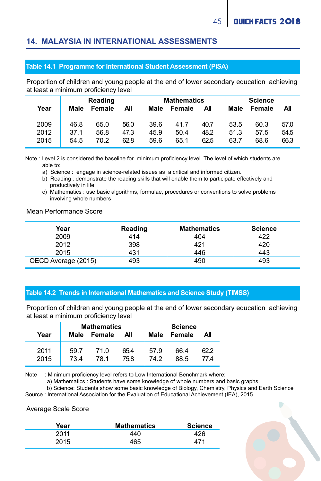#### **14. MALAYSIA IN INTERNATIONAL ASSESSMENTS**

#### **Table 14.1 Programme for International Student Assessment (PISA)**

Proportion of children and young people at the end of lower secondary education achieving at least a minimum proficiency level

| Year | Reading |      | <b>Mathematics</b> |      | <b>Science</b> |      |      |      |      |
|------|---------|------|--------------------|------|----------------|------|------|------|------|
|      | Female  |      | Male               |      | Male           |      |      |      |      |
|      | All     |      | All                |      | Female         |      |      |      |      |
|      | Male    |      | Female             |      | ΑIΙ            |      |      |      |      |
| 2009 | 46.8    | 65.0 | 56.0               | 39.6 | 41.7           | 40.7 | 53.5 | 60.3 | 57.0 |
| 2012 | 37.1    | 56.8 | 47.3               | 45.9 | 50.4           | 48.2 | 51.3 | 57.5 | 54.5 |
| 2015 | 54.5    | 70.2 | 62.8               | 59.6 | 65.1           | 62.5 | 63.7 | 68.6 | 66.3 |

Note : Level 2 is considered the baseline for minimum proficiency level. The level of which students are able to:

a) Science : engage in science-related issues as a critical and informed citizen.

 b) Reading : demonstrate the reading skills that will enable them to participate effectively and productively in life.

 c) Mathematics : use basic algorithms, formulae, procedures or conventions to solve problems involving whole numbers

Mean Performance Score

| Year                | Reading | <b>Mathematics</b> | <b>Science</b> |
|---------------------|---------|--------------------|----------------|
| 2009                | 414     | 404                | 422            |
| 2012                | 398     | 421                | 420            |
| 2015                | 431     | 446                | 443            |
| OECD Average (2015) | 493     | 490                | 493            |

#### **Table 14.2 Trends in International Mathematics and Science Study (TIMSS)**

Proportion of children and young people at the end of lower secondary education achieving at least a minimum proficiency level

| Year | Male | <b>Mathematics</b><br>Female<br>All |      |      | <b>Science</b><br>Female<br>Male<br>All |      |  |
|------|------|-------------------------------------|------|------|-----------------------------------------|------|--|
| 2011 | 597  | 71 O                                | 65.4 | 57.9 | 66.4                                    | 62.2 |  |
| 2015 | 73.4 | 78.1                                | 75.8 | 74.2 | 88.5                                    | 774  |  |

Note : Minimum proficiency level refers to Low International Benchmark where: 

a) Mathematics : Students have some knowledge of whole numbers and basic graphs.

b) Science: Students show some basic knowledge of Biology, Chemistry, Physics and Earth Science

Source : International Association for the Evaluation of Educational Achievement (IEA), 2015

#### Average Scale Score

| Year | <b>Mathematics</b> | <b>Science</b> |
|------|--------------------|----------------|
| 2011 | 440                | 26             |
| 2015 | 465                |                |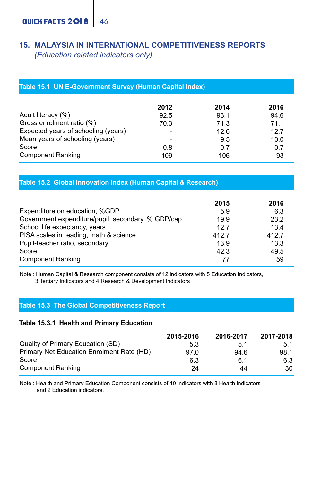### **15. MALAYSIA IN INTERNATIONAL COMPETITIVENESS REPORTS**  *(Education related indicators only)*

### **Table 15.1 UN E-Government Survey (Human Capital Index)**

|                                     | 2012 | 2014 | 2016 |
|-------------------------------------|------|------|------|
| Adult literacy (%)                  | 92.5 | 93.1 | 94.6 |
| Gross enrolment ratio (%)           | 70.3 | 71.3 | 71.1 |
| Expected years of schooling (years) | ۰    | 12.6 | 12.7 |
| Mean years of schooling (years)     |      | 9.5  | 10.0 |
| Score                               | 0.8  | 0.7  | 0.7  |
| <b>Component Ranking</b>            | 109  | 106  | 93   |

#### **Table 15.2 Global Innovation Index (Human Capital & Research)**

|                                                    | 2015  | 2016  |
|----------------------------------------------------|-------|-------|
| Expenditure on education, %GDP                     | 5.9   | 6.3   |
| Government expenditure/pupil, secondary, % GDP/cap | 19.9  | 23.2  |
| School life expectancy, years                      | 12.7  | 13.4  |
| PISA scales in reading, math & science             | 412.7 | 412.7 |
| Pupil-teacher ratio, secondary                     | 13.9  | 13.3  |
| Score                                              | 42.3  | 49.5  |
| <b>Component Ranking</b>                           | 77    | 59    |

Note : Human Capital & Research component consists of 12 indicators with 5 Education Indicators, 3 Tertiary Indicators and 4 Research & Development Indicators

#### **Table 15.3 The Global Competitiveness Report**

#### **Table 15.3.1 Health and Primary Education**

|                                           | 2015 2016 | 2016-2017 | 2017-2018 |
|-------------------------------------------|-----------|-----------|-----------|
| Quality of Primary Education (SD)         | 5.3       | 5.1       | 5.1       |
| Primary Net Education Enrolment Rate (HD) | 97.0      | 94.6      | 98.1      |
| Score                                     | 6.3       | 6.1       | 6.3       |
| <b>Component Ranking</b>                  | 24        | 44        | 30        |

Note : Health and Primary Education Component consists of 10 indicators with 8 Health indicators and 2 Education indicators.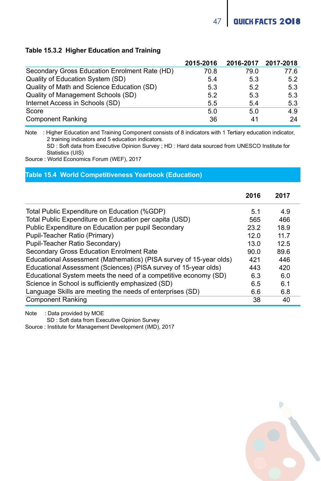**QUICK FACTS 2018** 

#### **Table 15.3.2 Higher Education and Training**

|                                               | 2015-2016 | 2016-2017 2017-2018 |      |
|-----------------------------------------------|-----------|---------------------|------|
| Secondary Gross Education Enrolment Rate (HD) | 70.8      | 79.0                | 77.6 |
| Quality of Education System (SD)              | 5.4       | 5.3                 | 5.2  |
| Quality of Math and Science Education (SD)    | 5.3       | 5.2                 | 5.3  |
| Quality of Management Schools (SD)            | 5.2       | 5.3                 | 5.3  |
| Internet Access in Schools (SD)               | 5.5       | 5.4                 | 5.3  |
| Score                                         | 5.0       | 5.0                 | 4.9  |
| <b>Component Ranking</b>                      | 36        | 41                  | 24   |

Note : Higher Education and Training Component consists of 8 indicators with 1 Tertiary education indicator, 2 training indicators and 5 education indicators.

 SD : Soft data from Executive Opinion Survey ; HD : Hard data sourced from UNESCO Institute for Statistics (UIS)

Source : World Economics Forum (WEF), 2017

#### **Table 15.4 World Competitiveness Yearbook (Education)**

|                                                                    | 2016 | 2017 |  |
|--------------------------------------------------------------------|------|------|--|
| Total Public Expenditure on Education (%GDP)                       | 5.1  | 4.9  |  |
| Total Public Expenditure on Education per capita (USD)             | 565  | 466  |  |
| Public Expenditure on Education per pupil Secondary                | 23.2 | 18.9 |  |
| Pupil-Teacher Ratio (Primary)                                      | 12.0 | 11 7 |  |
| Pupil-Teacher Ratio Secondary)                                     | 13.0 | 12.5 |  |
| Secondary Gross Education Enrolment Rate                           | 90.0 | 89.6 |  |
| Educational Assessment (Mathematics) (PISA survey of 15-year olds) | 421  | 446  |  |
| Educational Assessment (Sciences) (PISA survey of 15-year olds)    | 443  | 420  |  |
| Educational System meets the need of a competitive economy (SD)    | 6.3  | 6.0  |  |
| Science in School is sufficiently emphasized (SD)                  | 6.5  | 6.1  |  |
| Language Skills are meeting the needs of enterprises (SD)          | 6.6  | 6.8  |  |
| <b>Component Ranking</b>                                           | 38   | 40   |  |

Note : Data provided by MOE

SD : Soft data from Executive Opinion Survey

Source : Institute for Management Development (IMD), 2017